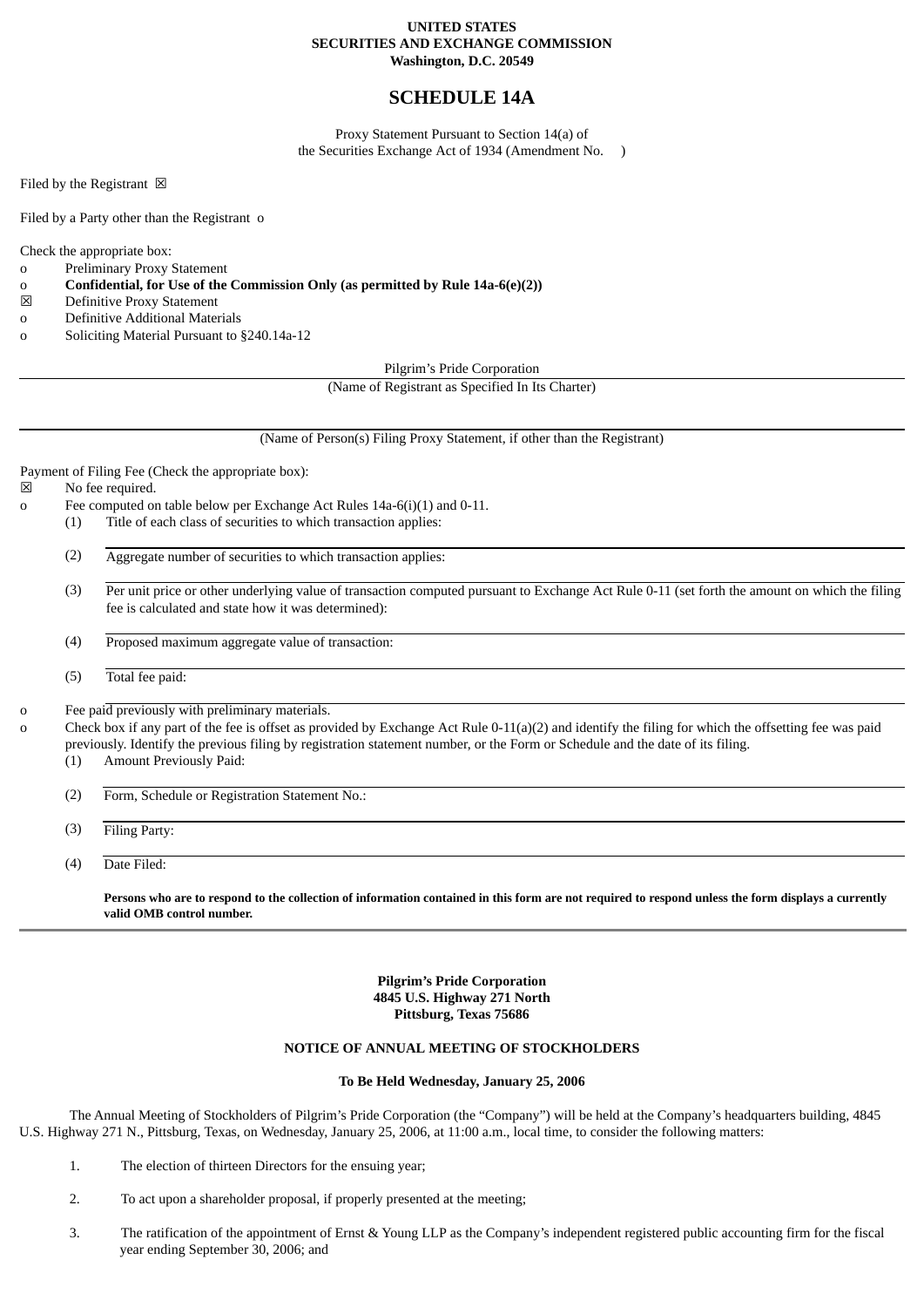# **UNITED STATES SECURITIES AND EXCHANGE COMMISSION Washington, D.C. 20549**

# **SCHEDULE 14A**

Proxy Statement Pursuant to Section 14(a) of the Securities Exchange Act of 1934 (Amendment No. )

Filed by the Registrant  $\boxtimes$ 

Filed by a Party other than the Registrant o

Check the appropriate box:

- o Preliminary Proxy Statement
- o **Confidential, for Use of the Commission Only (as permitted by Rule 14a-6(e)(2))**
- ☒ Definitive Proxy Statement
- o Definitive Additional Materials
- o Soliciting Material Pursuant to §240.14a-12

Pilgrim's Pride Corporation

(Name of Registrant as Specified In Its Charter)

(Name of Person(s) Filing Proxy Statement, if other than the Registrant)

Payment of Filing Fee (Check the appropriate box):

☒ No fee required.

- o Fee computed on table below per Exchange Act Rules 14a-6(i)(1) and 0-11.
	- (1) Title of each class of securities to which transaction applies:
		- (2) Aggregate number of securities to which transaction applies:
		- (3) Per unit price or other underlying value of transaction computed pursuant to Exchange Act Rule 0-11 (set forth the amount on which the filing fee is calculated and state how it was determined):
		- (4) Proposed maximum aggregate value of transaction:
		- (5) Total fee paid:

o Fee paid previously with preliminary materials.

Check box if any part of the fee is offset as provided by Exchange Act Rule 0-11(a)(2) and identify the filing for which the offsetting fee was paid previously. Identify the previous filing by registration statement number, or the Form or Schedule and the date of its filing.

- (1) Amount Previously Paid:
- (2) Form, Schedule or Registration Statement No.:

(3) Filing Party:

(4) Date Filed:

**Persons who are to respond to the collection of information contained in this form are not required to respond unless the form displays a currently valid OMB control number.**

> **Pilgrim's Pride Corporation 4845 U.S. Highway 271 North Pittsburg, Texas 75686**

# **NOTICE OF ANNUAL MEETING OF STOCKHOLDERS**

# **To Be Held Wednesday, January 25, 2006**

The Annual Meeting of Stockholders of Pilgrim's Pride Corporation (the "Company") will be held at the Company's headquarters building, 4845 U.S. Highway 271 N., Pittsburg, Texas, on Wednesday, January 25, 2006, at 11:00 a.m., local time, to consider the following matters:

- 1. The election of thirteen Directors for the ensuing year;
- 2. To act upon a shareholder proposal, if properly presented at the meeting;
- 3. The ratification of the appointment of Ernst & Young LLP as the Company's independent registered public accounting firm for the fiscal year ending September 30, 2006; and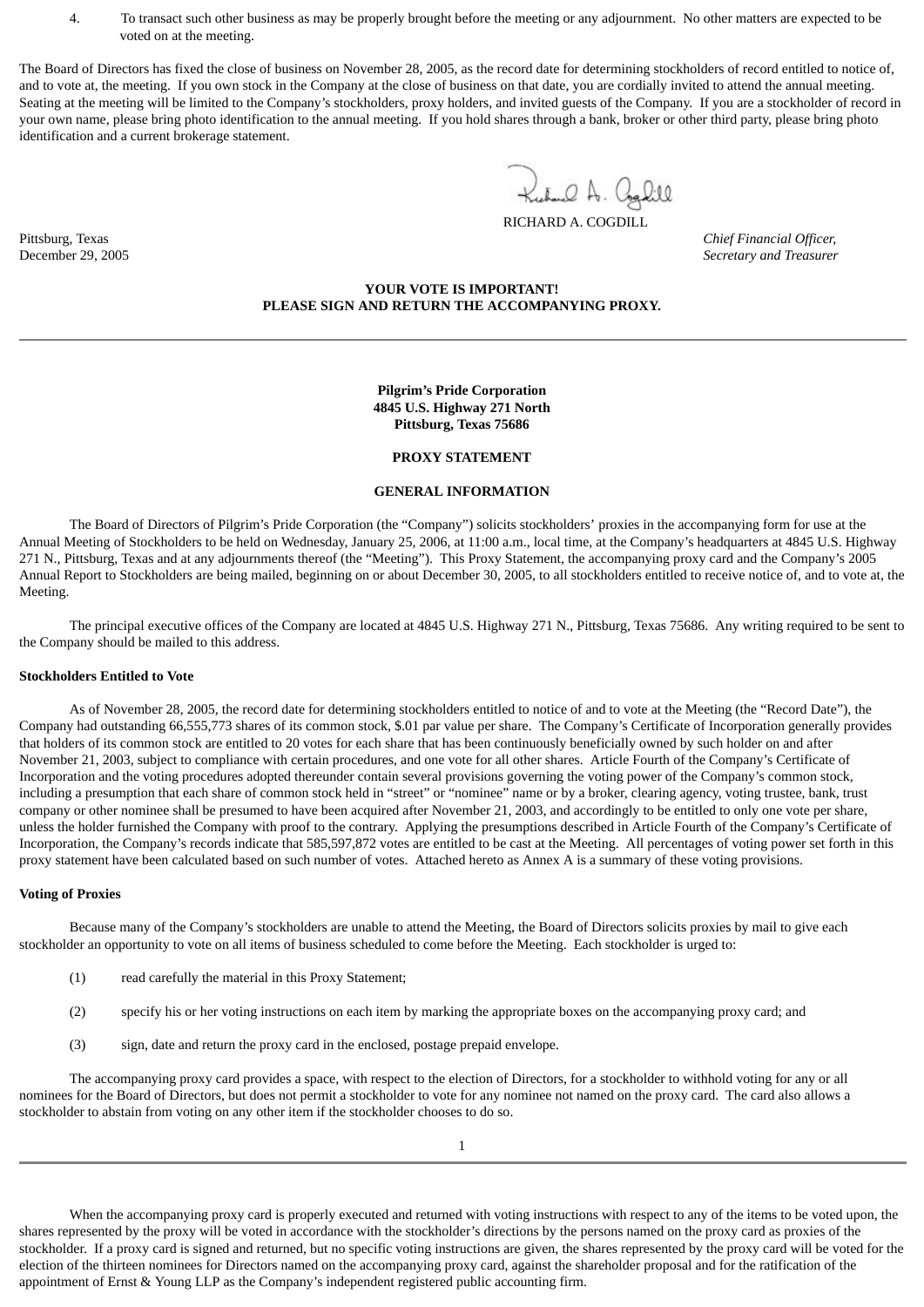4. To transact such other business as may be properly brought before the meeting or any adjournment. No other matters are expected to be voted on at the meeting.

The Board of Directors has fixed the close of business on November 28, 2005, as the record date for determining stockholders of record entitled to notice of, and to vote at, the meeting. If you own stock in the Company at the close of business on that date, you are cordially invited to attend the annual meeting. Seating at the meeting will be limited to the Company's stockholders, proxy holders, and invited guests of the Company. If you are a stockholder of record in your own name, please bring photo identification to the annual meeting. If you hold shares through a bank, broker or other third party, please bring photo identification and a current brokerage statement.

> Kulund A. Coghill RICHARD A. COGDILL

Pittsburg, Texas *Chief Financial Officer,* December 29, 2005 *Secretary and Treasurer*

# **YOUR VOTE IS IMPORTANT! PLEASE SIGN AND RETURN THE ACCOMPANYING PROXY.**

**Pilgrim's Pride Corporation 4845 U.S. Highway 271 North Pittsburg, Texas 75686**

#### **PROXY STATEMENT**

#### **GENERAL INFORMATION**

The Board of Directors of Pilgrim's Pride Corporation (the "Company") solicits stockholders' proxies in the accompanying form for use at the Annual Meeting of Stockholders to be held on Wednesday, January 25, 2006, at 11:00 a.m., local time, at the Company's headquarters at 4845 U.S. Highway 271 N., Pittsburg, Texas and at any adjournments thereof (the "Meeting"). This Proxy Statement, the accompanying proxy card and the Company's 2005 Annual Report to Stockholders are being mailed, beginning on or about December 30, 2005, to all stockholders entitled to receive notice of, and to vote at, the Meeting.

The principal executive offices of the Company are located at 4845 U.S. Highway 271 N., Pittsburg, Texas 75686. Any writing required to be sent to the Company should be mailed to this address.

#### **Stockholders Entitled to Vote**

As of November 28, 2005, the record date for determining stockholders entitled to notice of and to vote at the Meeting (the "Record Date"), the Company had outstanding 66,555,773 shares of its common stock, \$.01 par value per share. The Company's Certificate of Incorporation generally provides that holders of its common stock are entitled to 20 votes for each share that has been continuously beneficially owned by such holder on and after November 21, 2003, subject to compliance with certain procedures, and one vote for all other shares. Article Fourth of the Company's Certificate of Incorporation and the voting procedures adopted thereunder contain several provisions governing the voting power of the Company's common stock, including a presumption that each share of common stock held in "street" or "nominee" name or by a broker, clearing agency, voting trustee, bank, trust company or other nominee shall be presumed to have been acquired after November 21, 2003, and accordingly to be entitled to only one vote per share, unless the holder furnished the Company with proof to the contrary. Applying the presumptions described in Article Fourth of the Company's Certificate of Incorporation, the Company's records indicate that 585,597,872 votes are entitled to be cast at the Meeting. All percentages of voting power set forth in this proxy statement have been calculated based on such number of votes. Attached hereto as Annex A is a summary of these voting provisions.

#### **Voting of Proxies**

Because many of the Company's stockholders are unable to attend the Meeting, the Board of Directors solicits proxies by mail to give each stockholder an opportunity to vote on all items of business scheduled to come before the Meeting. Each stockholder is urged to:

- (1) read carefully the material in this Proxy Statement;
- (2) specify his or her voting instructions on each item by marking the appropriate boxes on the accompanying proxy card; and
- (3) sign, date and return the proxy card in the enclosed, postage prepaid envelope.

The accompanying proxy card provides a space, with respect to the election of Directors, for a stockholder to withhold voting for any or all nominees for the Board of Directors, but does not permit a stockholder to vote for any nominee not named on the proxy card. The card also allows a stockholder to abstain from voting on any other item if the stockholder chooses to do so.

When the accompanying proxy card is properly executed and returned with voting instructions with respect to any of the items to be voted upon, the shares represented by the proxy will be voted in accordance with the stockholder's directions by the persons named on the proxy card as proxies of the stockholder. If a proxy card is signed and returned, but no specific voting instructions are given, the shares represented by the proxy card will be voted for the election of the thirteen nominees for Directors named on the accompanying proxy card, against the shareholder proposal and for the ratification of the appointment of Ernst & Young LLP as the Company's independent registered public accounting firm.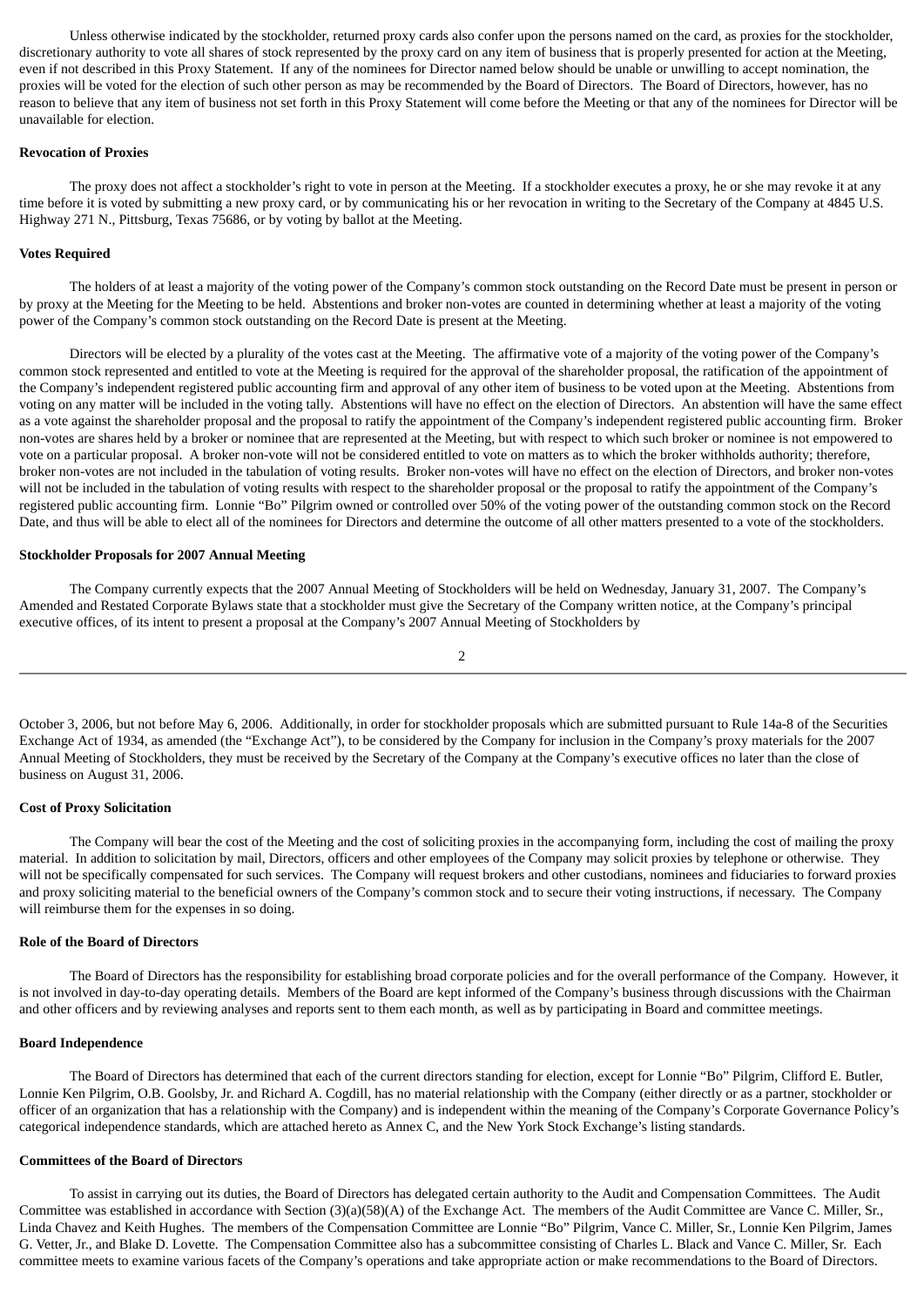Unless otherwise indicated by the stockholder, returned proxy cards also confer upon the persons named on the card, as proxies for the stockholder, discretionary authority to vote all shares of stock represented by the proxy card on any item of business that is properly presented for action at the Meeting, even if not described in this Proxy Statement. If any of the nominees for Director named below should be unable or unwilling to accept nomination, the proxies will be voted for the election of such other person as may be recommended by the Board of Directors. The Board of Directors, however, has no reason to believe that any item of business not set forth in this Proxy Statement will come before the Meeting or that any of the nominees for Director will be unavailable for election.

#### **Revocation of Proxies**

The proxy does not affect a stockholder's right to vote in person at the Meeting. If a stockholder executes a proxy, he or she may revoke it at any time before it is voted by submitting a new proxy card, or by communicating his or her revocation in writing to the Secretary of the Company at 4845 U.S. Highway 271 N., Pittsburg, Texas 75686, or by voting by ballot at the Meeting.

### **Votes Required**

The holders of at least a majority of the voting power of the Company's common stock outstanding on the Record Date must be present in person or by proxy at the Meeting for the Meeting to be held. Abstentions and broker non-votes are counted in determining whether at least a majority of the voting power of the Company's common stock outstanding on the Record Date is present at the Meeting.

Directors will be elected by a plurality of the votes cast at the Meeting. The affirmative vote of a majority of the voting power of the Company's common stock represented and entitled to vote at the Meeting is required for the approval of the shareholder proposal, the ratification of the appointment of the Company's independent registered public accounting firm and approval of any other item of business to be voted upon at the Meeting. Abstentions from voting on any matter will be included in the voting tally. Abstentions will have no effect on the election of Directors. An abstention will have the same effect as a vote against the shareholder proposal and the proposal to ratify the appointment of the Company's independent registered public accounting firm. Broker non-votes are shares held by a broker or nominee that are represented at the Meeting, but with respect to which such broker or nominee is not empowered to vote on a particular proposal. A broker non-vote will not be considered entitled to vote on matters as to which the broker withholds authority; therefore, broker non-votes are not included in the tabulation of voting results. Broker non-votes will have no effect on the election of Directors, and broker non-votes will not be included in the tabulation of voting results with respect to the shareholder proposal or the proposal to ratify the appointment of the Company's registered public accounting firm. Lonnie "Bo" Pilgrim owned or controlled over 50% of the voting power of the outstanding common stock on the Record Date, and thus will be able to elect all of the nominees for Directors and determine the outcome of all other matters presented to a vote of the stockholders.

### **Stockholder Proposals for 2007 Annual Meeting**

The Company currently expects that the 2007 Annual Meeting of Stockholders will be held on Wednesday, January 31, 2007. The Company's Amended and Restated Corporate Bylaws state that a stockholder must give the Secretary of the Company written notice, at the Company's principal executive offices, of its intent to present a proposal at the Company's 2007 Annual Meeting of Stockholders by

$$
\,2
$$

October 3, 2006, but not before May 6, 2006. Additionally, in order for stockholder proposals which are submitted pursuant to Rule 14a-8 of the Securities Exchange Act of 1934, as amended (the "Exchange Act"), to be considered by the Company for inclusion in the Company's proxy materials for the 2007 Annual Meeting of Stockholders, they must be received by the Secretary of the Company at the Company's executive offices no later than the close of business on August 31, 2006.

#### **Cost of Proxy Solicitation**

The Company will bear the cost of the Meeting and the cost of soliciting proxies in the accompanying form, including the cost of mailing the proxy material. In addition to solicitation by mail, Directors, officers and other employees of the Company may solicit proxies by telephone or otherwise. They will not be specifically compensated for such services. The Company will request brokers and other custodians, nominees and fiduciaries to forward proxies and proxy soliciting material to the beneficial owners of the Company's common stock and to secure their voting instructions, if necessary. The Company will reimburse them for the expenses in so doing.

### **Role of the Board of Directors**

The Board of Directors has the responsibility for establishing broad corporate policies and for the overall performance of the Company. However, it is not involved in day-to-day operating details. Members of the Board are kept informed of the Company's business through discussions with the Chairman and other officers and by reviewing analyses and reports sent to them each month, as well as by participating in Board and committee meetings.

### **Board Independence**

The Board of Directors has determined that each of the current directors standing for election, except for Lonnie "Bo" Pilgrim, Clifford E. Butler, Lonnie Ken Pilgrim, O.B. Goolsby, Jr. and Richard A. Cogdill, has no material relationship with the Company (either directly or as a partner, stockholder or officer of an organization that has a relationship with the Company) and is independent within the meaning of the Company's Corporate Governance Policy's categorical independence standards, which are attached hereto as Annex C, and the New York Stock Exchange's listing standards.

### **Committees of the Board of Directors**

To assist in carrying out its duties, the Board of Directors has delegated certain authority to the Audit and Compensation Committees. The Audit Committee was established in accordance with Section (3)(a)(58)(A) of the Exchange Act. The members of the Audit Committee are Vance C. Miller, Sr., Linda Chavez and Keith Hughes. The members of the Compensation Committee are Lonnie "Bo" Pilgrim, Vance C. Miller, Sr., Lonnie Ken Pilgrim, James G. Vetter, Jr., and Blake D. Lovette. The Compensation Committee also has a subcommittee consisting of Charles L. Black and Vance C. Miller, Sr. Each committee meets to examine various facets of the Company's operations and take appropriate action or make recommendations to the Board of Directors.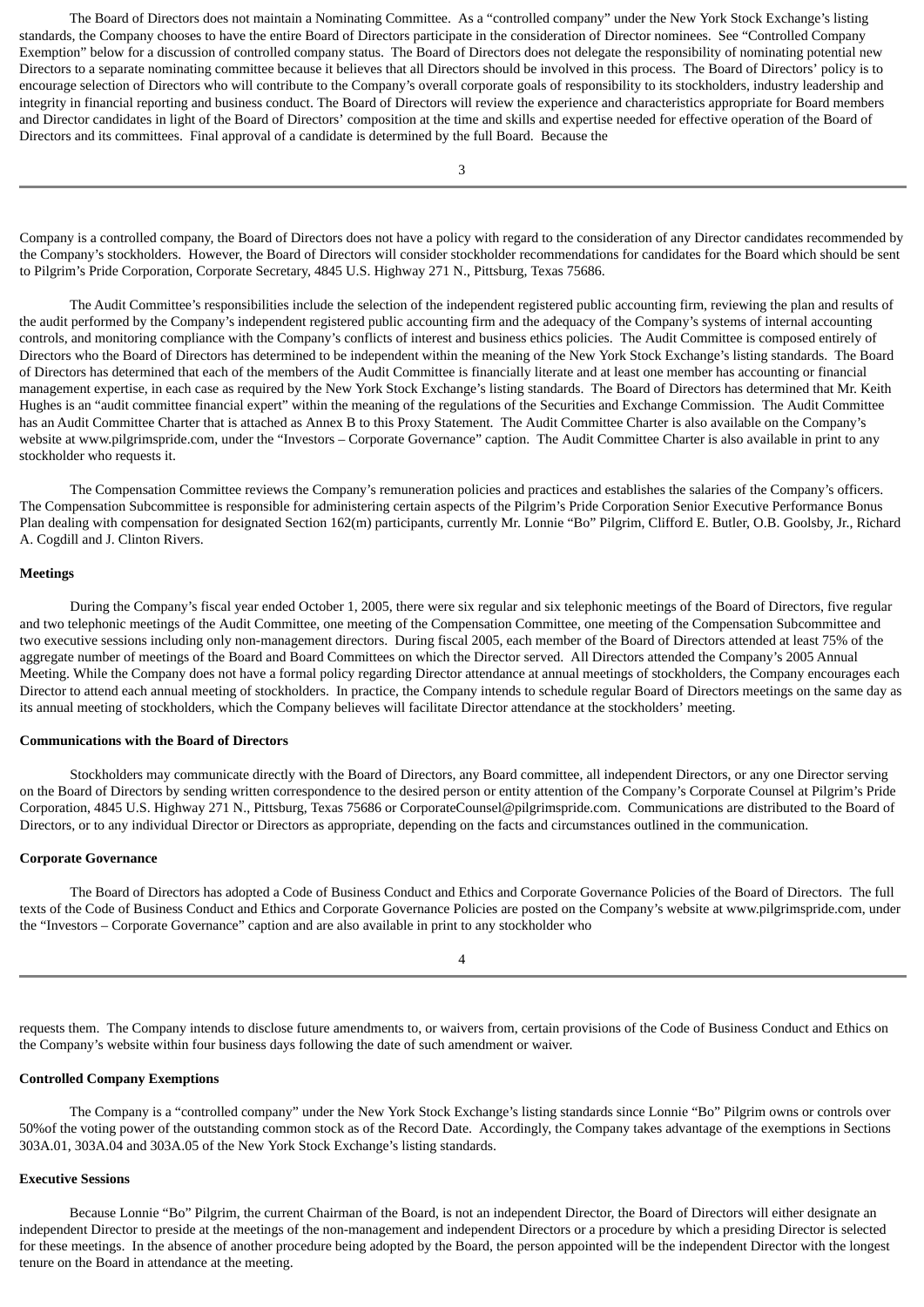The Board of Directors does not maintain a Nominating Committee. As a "controlled company" under the New York Stock Exchange's listing standards, the Company chooses to have the entire Board of Directors participate in the consideration of Director nominees. See "Controlled Company Exemption" below for a discussion of controlled company status. The Board of Directors does not delegate the responsibility of nominating potential new Directors to a separate nominating committee because it believes that all Directors should be involved in this process. The Board of Directors' policy is to encourage selection of Directors who will contribute to the Company's overall corporate goals of responsibility to its stockholders, industry leadership and integrity in financial reporting and business conduct. The Board of Directors will review the experience and characteristics appropriate for Board members and Director candidates in light of the Board of Directors' composition at the time and skills and expertise needed for effective operation of the Board of Directors and its committees. Final approval of a candidate is determined by the full Board. Because the

Company is a controlled company, the Board of Directors does not have a policy with regard to the consideration of any Director candidates recommended by the Company's stockholders. However, the Board of Directors will consider stockholder recommendations for candidates for the Board which should be sent to Pilgrim's Pride Corporation, Corporate Secretary, 4845 U.S. Highway 271 N., Pittsburg, Texas 75686.

The Audit Committee's responsibilities include the selection of the independent registered public accounting firm, reviewing the plan and results of the audit performed by the Company's independent registered public accounting firm and the adequacy of the Company's systems of internal accounting controls, and monitoring compliance with the Company's conflicts of interest and business ethics policies. The Audit Committee is composed entirely of Directors who the Board of Directors has determined to be independent within the meaning of the New York Stock Exchange's listing standards. The Board of Directors has determined that each of the members of the Audit Committee is financially literate and at least one member has accounting or financial management expertise, in each case as required by the New York Stock Exchange's listing standards. The Board of Directors has determined that Mr. Keith Hughes is an "audit committee financial expert" within the meaning of the regulations of the Securities and Exchange Commission. The Audit Committee has an Audit Committee Charter that is attached as Annex B to this Proxy Statement. The Audit Committee Charter is also available on the Company's website at www.pilgrimspride.com, under the "Investors – Corporate Governance" caption. The Audit Committee Charter is also available in print to any stockholder who requests it.

The Compensation Committee reviews the Company's remuneration policies and practices and establishes the salaries of the Company's officers. The Compensation Subcommittee is responsible for administering certain aspects of the Pilgrim's Pride Corporation Senior Executive Performance Bonus Plan dealing with compensation for designated Section 162(m) participants, currently Mr. Lonnie "Bo" Pilgrim, Clifford E. Butler, O.B. Goolsby, Jr., Richard A. Cogdill and J. Clinton Rivers.

### **Meetings**

During the Company's fiscal year ended October 1, 2005, there were six regular and six telephonic meetings of the Board of Directors, five regular and two telephonic meetings of the Audit Committee, one meeting of the Compensation Committee, one meeting of the Compensation Subcommittee and two executive sessions including only non-management directors. During fiscal 2005, each member of the Board of Directors attended at least 75% of the aggregate number of meetings of the Board and Board Committees on which the Director served. All Directors attended the Company's 2005 Annual Meeting. While the Company does not have a formal policy regarding Director attendance at annual meetings of stockholders, the Company encourages each Director to attend each annual meeting of stockholders. In practice, the Company intends to schedule regular Board of Directors meetings on the same day as its annual meeting of stockholders, which the Company believes will facilitate Director attendance at the stockholders' meeting.

### **Communications with the Board of Directors**

Stockholders may communicate directly with the Board of Directors, any Board committee, all independent Directors, or any one Director serving on the Board of Directors by sending written correspondence to the desired person or entity attention of the Company's Corporate Counsel at Pilgrim's Pride Corporation, 4845 U.S. Highway 271 N., Pittsburg, Texas 75686 or CorporateCounsel@pilgrimspride.com. Communications are distributed to the Board of Directors, or to any individual Director or Directors as appropriate, depending on the facts and circumstances outlined in the communication.

#### **Corporate Governance**

The Board of Directors has adopted a Code of Business Conduct and Ethics and Corporate Governance Policies of the Board of Directors. The full texts of the Code of Business Conduct and Ethics and Corporate Governance Policies are posted on the Company's website at www.pilgrimspride.com, under the "Investors – Corporate Governance" caption and are also available in print to any stockholder who

requests them. The Company intends to disclose future amendments to, or waivers from, certain provisions of the Code of Business Conduct and Ethics on the Company's website within four business days following the date of such amendment or waiver.

#### **Controlled Company Exemptions**

The Company is a "controlled company" under the New York Stock Exchange's listing standards since Lonnie "Bo" Pilgrim owns or controls over 50%of the voting power of the outstanding common stock as of the Record Date. Accordingly, the Company takes advantage of the exemptions in Sections 303A.01, 303A.04 and 303A.05 of the New York Stock Exchange's listing standards.

#### **Executive Sessions**

Because Lonnie "Bo" Pilgrim, the current Chairman of the Board, is not an independent Director, the Board of Directors will either designate an independent Director to preside at the meetings of the non-management and independent Directors or a procedure by which a presiding Director is selected for these meetings. In the absence of another procedure being adopted by the Board, the person appointed will be the independent Director with the longest tenure on the Board in attendance at the meeting.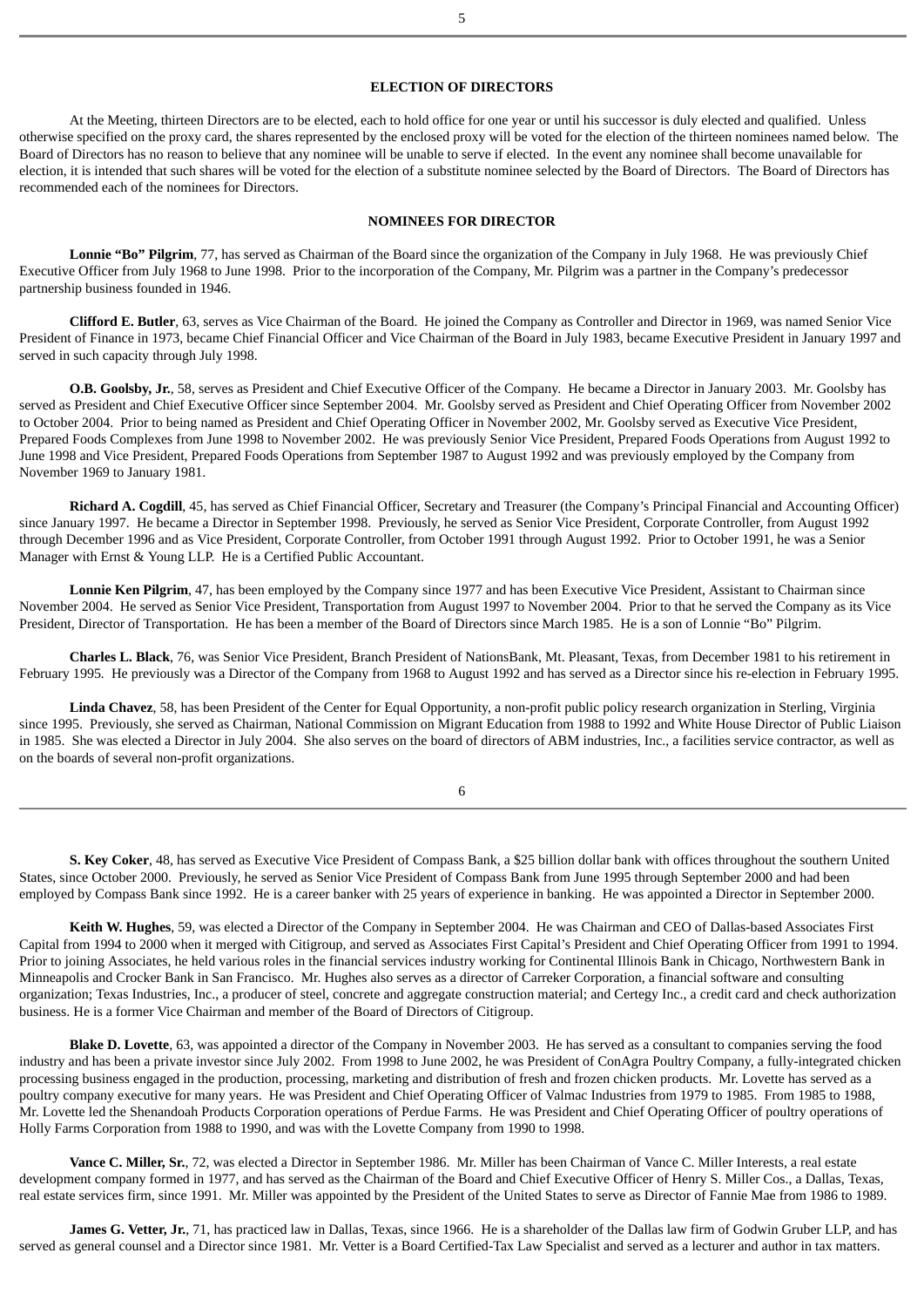### **ELECTION OF DIRECTORS**

At the Meeting, thirteen Directors are to be elected, each to hold office for one year or until his successor is duly elected and qualified. Unless otherwise specified on the proxy card, the shares represented by the enclosed proxy will be voted for the election of the thirteen nominees named below. The Board of Directors has no reason to believe that any nominee will be unable to serve if elected. In the event any nominee shall become unavailable for election, it is intended that such shares will be voted for the election of a substitute nominee selected by the Board of Directors. The Board of Directors has recommended each of the nominees for Directors.

### **NOMINEES FOR DIRECTOR**

**Lonnie "Bo" Pilgrim**, 77, has served as Chairman of the Board since the organization of the Company in July 1968. He was previously Chief Executive Officer from July 1968 to June 1998. Prior to the incorporation of the Company, Mr. Pilgrim was a partner in the Company's predecessor partnership business founded in 1946.

**Clifford E. Butler**, 63, serves as Vice Chairman of the Board. He joined the Company as Controller and Director in 1969, was named Senior Vice President of Finance in 1973, became Chief Financial Officer and Vice Chairman of the Board in July 1983, became Executive President in January 1997 and served in such capacity through July 1998.

**O.B. Goolsby, Jr.**, 58, serves as President and Chief Executive Officer of the Company. He became a Director in January 2003. Mr. Goolsby has served as President and Chief Executive Officer since September 2004. Mr. Goolsby served as President and Chief Operating Officer from November 2002 to October 2004. Prior to being named as President and Chief Operating Officer in November 2002, Mr. Goolsby served as Executive Vice President, Prepared Foods Complexes from June 1998 to November 2002. He was previously Senior Vice President, Prepared Foods Operations from August 1992 to June 1998 and Vice President, Prepared Foods Operations from September 1987 to August 1992 and was previously employed by the Company from November 1969 to January 1981.

**Richard A. Cogdill**, 45, has served as Chief Financial Officer, Secretary and Treasurer (the Company's Principal Financial and Accounting Officer) since January 1997. He became a Director in September 1998. Previously, he served as Senior Vice President, Corporate Controller, from August 1992 through December 1996 and as Vice President, Corporate Controller, from October 1991 through August 1992. Prior to October 1991, he was a Senior Manager with Ernst & Young LLP. He is a Certified Public Accountant.

**Lonnie Ken Pilgrim**, 47, has been employed by the Company since 1977 and has been Executive Vice President, Assistant to Chairman since November 2004. He served as Senior Vice President, Transportation from August 1997 to November 2004. Prior to that he served the Company as its Vice President, Director of Transportation. He has been a member of the Board of Directors since March 1985. He is a son of Lonnie "Bo" Pilgrim.

**Charles L. Black**, 76, was Senior Vice President, Branch President of NationsBank, Mt. Pleasant, Texas, from December 1981 to his retirement in February 1995*.* He previously was a Director of the Company from 1968 to August 1992 and has served as a Director since his re-election in February 1995.

**Linda Chavez**, 58, has been President of the Center for Equal Opportunity, a non-profit public policy research organization in Sterling, Virginia since 1995. Previously, she served as Chairman, National Commission on Migrant Education from 1988 to 1992 and White House Director of Public Liaison in 1985. She was elected a Director in July 2004. She also serves on the board of directors of ABM industries, Inc., a facilities service contractor, as well as on the boards of several non-profit organizations.

6

**S. Key Coker**, 48, has served as Executive Vice President of Compass Bank, a \$25 billion dollar bank with offices throughout the southern United States, since October 2000. Previously, he served as Senior Vice President of Compass Bank from June 1995 through September 2000 and had been employed by Compass Bank since 1992. He is a career banker with 25 years of experience in banking. He was appointed a Director in September 2000.

**Keith W. Hughes**, 59, was elected a Director of the Company in September 2004. He was Chairman and CEO of Dallas-based Associates First Capital from 1994 to 2000 when it merged with Citigroup, and served as Associates First Capital's President and Chief Operating Officer from 1991 to 1994. Prior to joining Associates, he held various roles in the financial services industry working for Continental Illinois Bank in Chicago, Northwestern Bank in Minneapolis and Crocker Bank in San Francisco. Mr. Hughes also serves as a director of Carreker Corporation, a financial software and consulting organization; Texas Industries, Inc., a producer of steel, concrete and aggregate construction material; and Certegy Inc., a credit card and check authorization business. He is a former Vice Chairman and member of the Board of Directors of Citigroup.

**Blake D. Lovette**, 63, was appointed a director of the Company in November 2003. He has served as a consultant to companies serving the food industry and has been a private investor since July 2002. From 1998 to June 2002, he was President of ConAgra Poultry Company, a fully-integrated chicken processing business engaged in the production, processing, marketing and distribution of fresh and frozen chicken products. Mr. Lovette has served as a poultry company executive for many years. He was President and Chief Operating Officer of Valmac Industries from 1979 to 1985. From 1985 to 1988, Mr. Lovette led the Shenandoah Products Corporation operations of Perdue Farms. He was President and Chief Operating Officer of poultry operations of Holly Farms Corporation from 1988 to 1990, and was with the Lovette Company from 1990 to 1998.

**Vance C. Miller, Sr.**, 72, was elected a Director in September 1986. Mr. Miller has been Chairman of Vance C. Miller Interests, a real estate development company formed in 1977, and has served as the Chairman of the Board and Chief Executive Officer of Henry S. Miller Cos., a Dallas, Texas, real estate services firm, since 1991. Mr. Miller was appointed by the President of the United States to serve as Director of Fannie Mae from 1986 to 1989.

**James G. Vetter, Jr.**, 71, has practiced law in Dallas, Texas, since 1966. He is a shareholder of the Dallas law firm of Godwin Gruber LLP, and has served as general counsel and a Director since 1981. Mr. Vetter is a Board Certified-Tax Law Specialist and served as a lecturer and author in tax matters.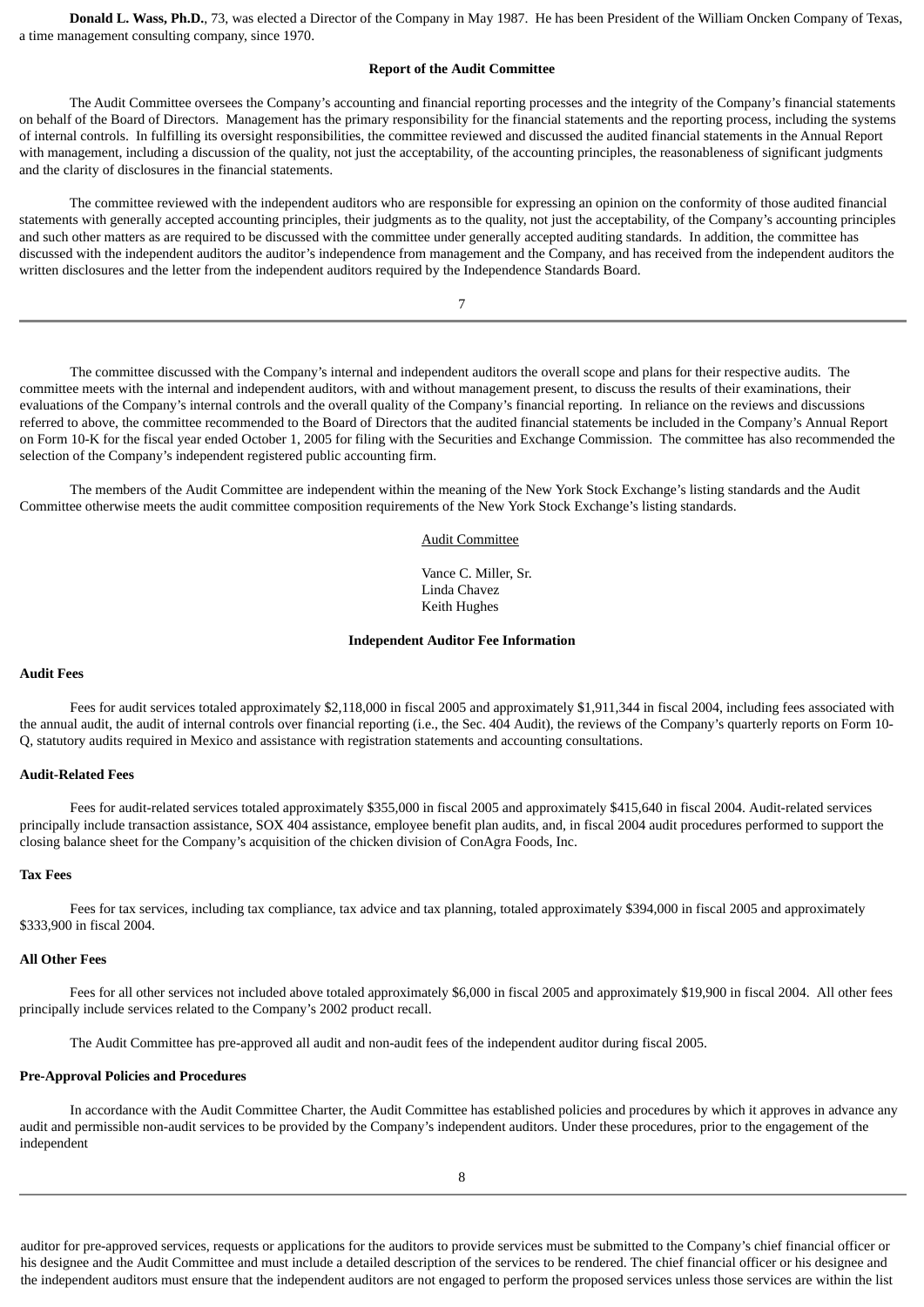**Donald L. Wass, Ph.D.**, 73, was elected a Director of the Company in May 1987. He has been President of the William Oncken Company of Texas, a time management consulting company, since 1970.

### **Report of the Audit Committee**

The Audit Committee oversees the Company's accounting and financial reporting processes and the integrity of the Company's financial statements on behalf of the Board of Directors. Management has the primary responsibility for the financial statements and the reporting process, including the systems of internal controls. In fulfilling its oversight responsibilities, the committee reviewed and discussed the audited financial statements in the Annual Report with management, including a discussion of the quality, not just the acceptability, of the accounting principles, the reasonableness of significant judgments and the clarity of disclosures in the financial statements.

The committee reviewed with the independent auditors who are responsible for expressing an opinion on the conformity of those audited financial statements with generally accepted accounting principles, their judgments as to the quality, not just the acceptability, of the Company's accounting principles and such other matters as are required to be discussed with the committee under generally accepted auditing standards. In addition, the committee has discussed with the independent auditors the auditor's independence from management and the Company, and has received from the independent auditors the written disclosures and the letter from the independent auditors required by the Independence Standards Board.

7

The committee discussed with the Company's internal and independent auditors the overall scope and plans for their respective audits. The committee meets with the internal and independent auditors, with and without management present, to discuss the results of their examinations, their evaluations of the Company's internal controls and the overall quality of the Company's financial reporting. In reliance on the reviews and discussions referred to above, the committee recommended to the Board of Directors that the audited financial statements be included in the Company's Annual Report on Form 10-K for the fiscal year ended October 1, 2005 for filing with the Securities and Exchange Commission. The committee has also recommended the selection of the Company's independent registered public accounting firm.

The members of the Audit Committee are independent within the meaning of the New York Stock Exchange's listing standards and the Audit Committee otherwise meets the audit committee composition requirements of the New York Stock Exchange's listing standards.

# Audit Committee

Vance C. Miller, Sr. Linda Chavez Keith Hughes

### **Independent Auditor Fee Information**

#### **Audit Fees**

Fees for audit services totaled approximately \$2,118,000 in fiscal 2005 and approximately \$1,911,344 in fiscal 2004, including fees associated with the annual audit, the audit of internal controls over financial reporting (i.e., the Sec. 404 Audit), the reviews of the Company's quarterly reports on Form 10-Q, statutory audits required in Mexico and assistance with registration statements and accounting consultations.

#### **Audit-Related Fees**

Fees for audit-related services totaled approximately \$355,000 in fiscal 2005 and approximately \$415,640 in fiscal 2004. Audit-related services principally include transaction assistance, SOX 404 assistance, employee benefit plan audits, and, in fiscal 2004 audit procedures performed to support the closing balance sheet for the Company's acquisition of the chicken division of ConAgra Foods, Inc.

### **Tax Fees**

Fees for tax services, including tax compliance, tax advice and tax planning, totaled approximately \$394,000 in fiscal 2005 and approximately \$333,900 in fiscal 2004.

#### **All Other Fees**

Fees for all other services not included above totaled approximately \$6,000 in fiscal 2005 and approximately \$19,900 in fiscal 2004. All other fees principally include services related to the Company's 2002 product recall.

The Audit Committee has pre-approved all audit and non-audit fees of the independent auditor during fiscal 2005.

#### **Pre-Approval Policies and Procedures**

In accordance with the Audit Committee Charter, the Audit Committee has established policies and procedures by which it approves in advance any audit and permissible non-audit services to be provided by the Company's independent auditors. Under these procedures, prior to the engagement of the independent

auditor for pre-approved services, requests or applications for the auditors to provide services must be submitted to the Company's chief financial officer or his designee and the Audit Committee and must include a detailed description of the services to be rendered. The chief financial officer or his designee and the independent auditors must ensure that the independent auditors are not engaged to perform the proposed services unless those services are within the list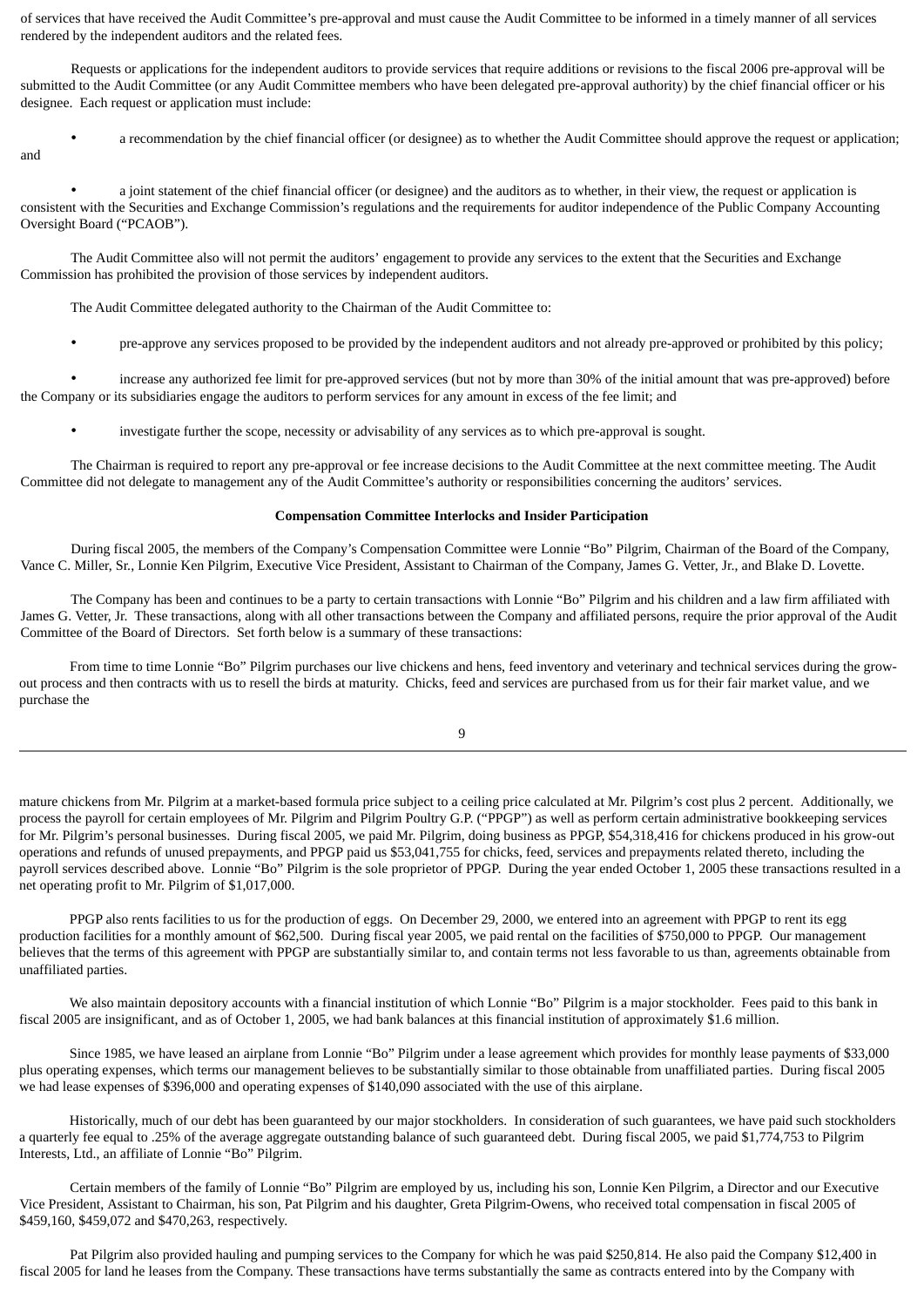of services that have received the Audit Committee's pre-approval and must cause the Audit Committee to be informed in a timely manner of all services rendered by the independent auditors and the related fees.

Requests or applications for the independent auditors to provide services that require additions or revisions to the fiscal 2006 pre-approval will be submitted to the Audit Committee (or any Audit Committee members who have been delegated pre-approval authority) by the chief financial officer or his designee. Each request or application must include:

and

• a recommendation by the chief financial officer (or designee) as to whether the Audit Committee should approve the request or application;

• a joint statement of the chief financial officer (or designee) and the auditors as to whether, in their view, the request or application is consistent with the Securities and Exchange Commission's regulations and the requirements for auditor independence of the Public Company Accounting Oversight Board ("PCAOB").

The Audit Committee also will not permit the auditors' engagement to provide any services to the extent that the Securities and Exchange Commission has prohibited the provision of those services by independent auditors.

The Audit Committee delegated authority to the Chairman of the Audit Committee to:

• pre-approve any services proposed to be provided by the independent auditors and not already pre-approved or prohibited by this policy;

• increase any authorized fee limit for pre-approved services (but not by more than 30% of the initial amount that was pre-approved) before the Company or its subsidiaries engage the auditors to perform services for any amount in excess of the fee limit; and

• investigate further the scope, necessity or advisability of any services as to which pre-approval is sought.

The Chairman is required to report any pre-approval or fee increase decisions to the Audit Committee at the next committee meeting. The Audit Committee did not delegate to management any of the Audit Committee's authority or responsibilities concerning the auditors' services.

# **Compensation Committee Interlocks and Insider Participation**

During fiscal 2005, the members of the Company's Compensation Committee were Lonnie "Bo" Pilgrim, Chairman of the Board of the Company, Vance C. Miller, Sr., Lonnie Ken Pilgrim, Executive Vice President, Assistant to Chairman of the Company, James G. Vetter, Jr., and Blake D. Lovette.

The Company has been and continues to be a party to certain transactions with Lonnie "Bo" Pilgrim and his children and a law firm affiliated with James G. Vetter, Jr. These transactions, along with all other transactions between the Company and affiliated persons, require the prior approval of the Audit Committee of the Board of Directors. Set forth below is a summary of these transactions:

From time to time Lonnie "Bo" Pilgrim purchases our live chickens and hens, feed inventory and veterinary and technical services during the growout process and then contracts with us to resell the birds at maturity. Chicks, feed and services are purchased from us for their fair market value, and we purchase the

|   | I |    |  |
|---|---|----|--|
|   |   |    |  |
| ć |   |    |  |
|   |   | ۰. |  |

mature chickens from Mr. Pilgrim at a market-based formula price subject to a ceiling price calculated at Mr. Pilgrim's cost plus 2 percent. Additionally, we process the payroll for certain employees of Mr. Pilgrim and Pilgrim Poultry G.P. ("PPGP") as well as perform certain administrative bookkeeping services for Mr. Pilgrim's personal businesses. During fiscal 2005, we paid Mr. Pilgrim, doing business as PPGP, \$54,318,416 for chickens produced in his grow-out operations and refunds of unused prepayments, and PPGP paid us \$53,041,755 for chicks, feed, services and prepayments related thereto, including the payroll services described above. Lonnie "Bo" Pilgrim is the sole proprietor of PPGP. During the year ended October 1, 2005 these transactions resulted in a net operating profit to Mr. Pilgrim of \$1,017,000.

PPGP also rents facilities to us for the production of eggs. On December 29, 2000, we entered into an agreement with PPGP to rent its egg production facilities for a monthly amount of \$62,500. During fiscal year 2005, we paid rental on the facilities of \$750,000 to PPGP. Our management believes that the terms of this agreement with PPGP are substantially similar to, and contain terms not less favorable to us than, agreements obtainable from unaffiliated parties.

We also maintain depository accounts with a financial institution of which Lonnie "Bo" Pilgrim is a major stockholder. Fees paid to this bank in fiscal 2005 are insignificant, and as of October 1, 2005, we had bank balances at this financial institution of approximately \$1.6 million.

Since 1985, we have leased an airplane from Lonnie "Bo" Pilgrim under a lease agreement which provides for monthly lease payments of \$33,000 plus operating expenses, which terms our management believes to be substantially similar to those obtainable from unaffiliated parties. During fiscal 2005 we had lease expenses of \$396,000 and operating expenses of \$140,090 associated with the use of this airplane.

Historically, much of our debt has been guaranteed by our major stockholders. In consideration of such guarantees, we have paid such stockholders a quarterly fee equal to .25% of the average aggregate outstanding balance of such guaranteed debt. During fiscal 2005, we paid \$1,774,753 to Pilgrim Interests, Ltd., an affiliate of Lonnie "Bo" Pilgrim.

Certain members of the family of Lonnie "Bo" Pilgrim are employed by us, including his son, Lonnie Ken Pilgrim, a Director and our Executive Vice President, Assistant to Chairman, his son, Pat Pilgrim and his daughter, Greta Pilgrim-Owens, who received total compensation in fiscal 2005 of \$459,160, \$459,072 and \$470,263, respectively.

Pat Pilgrim also provided hauling and pumping services to the Company for which he was paid \$250,814. He also paid the Company \$12,400 in fiscal 2005 for land he leases from the Company. These transactions have terms substantially the same as contracts entered into by the Company with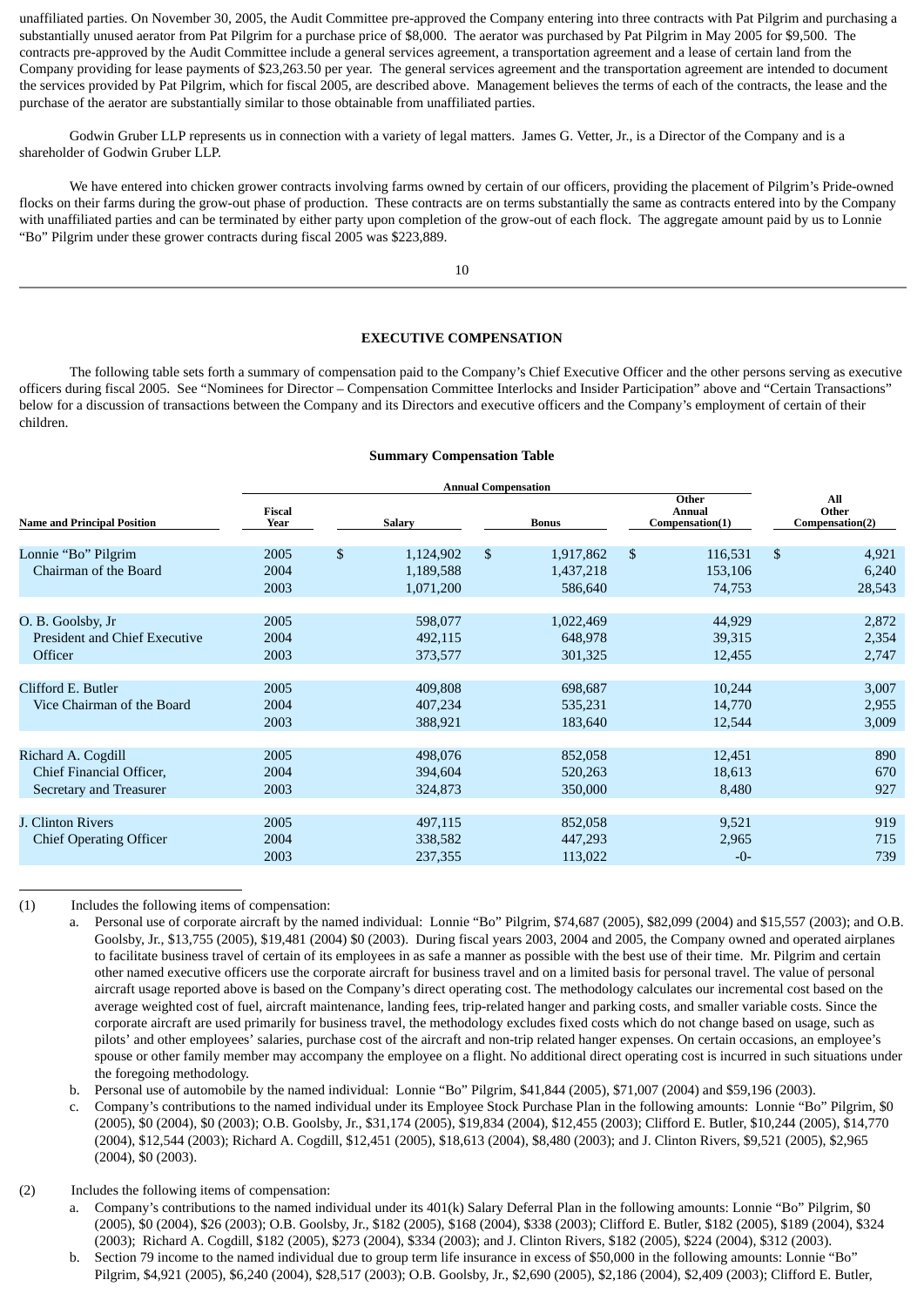unaffiliated parties. On November 30, 2005, the Audit Committee pre-approved the Company entering into three contracts with Pat Pilgrim and purchasing a substantially unused aerator from Pat Pilgrim for a purchase price of \$8,000. The aerator was purchased by Pat Pilgrim in May 2005 for \$9,500. The contracts pre-approved by the Audit Committee include a general services agreement, a transportation agreement and a lease of certain land from the Company providing for lease payments of \$23,263.50 per year. The general services agreement and the transportation agreement are intended to document the services provided by Pat Pilgrim, which for fiscal 2005, are described above. Management believes the terms of each of the contracts, the lease and the purchase of the aerator are substantially similar to those obtainable from unaffiliated parties.

Godwin Gruber LLP represents us in connection with a variety of legal matters. James G. Vetter, Jr., is a Director of the Company and is a shareholder of Godwin Gruber LLP.

We have entered into chicken grower contracts involving farms owned by certain of our officers, providing the placement of Pilgrim's Pride-owned flocks on their farms during the grow-out phase of production. These contracts are on terms substantially the same as contracts entered into by the Company with unaffiliated parties and can be terminated by either party upon completion of the grow-out of each flock. The aggregate amount paid by us to Lonnie "Bo" Pilgrim under these grower contracts during fiscal 2005 was \$223,889.

10

#### **EXECUTIVE COMPENSATION**

The following table sets forth a summary of compensation paid to the Company's Chief Executive Officer and the other persons serving as executive officers during fiscal 2005. See "Nominees for Director – Compensation Committee Interlocks and Insider Participation" above and "Certain Transactions" below for a discussion of transactions between the Company and its Directors and executive officers and the Company's employment of certain of their children.

#### **Summary Compensation Table**

|                                                                           | <b>Annual Compensation</b> |               |                                     |              |                                   |                                           |                              |                                 |                          |
|---------------------------------------------------------------------------|----------------------------|---------------|-------------------------------------|--------------|-----------------------------------|-------------------------------------------|------------------------------|---------------------------------|--------------------------|
| <b>Name and Principal Position</b>                                        | <b>Fiscal</b><br>Year      | <b>Salary</b> |                                     | <b>Bonus</b> |                                   | Other<br><b>Annual</b><br>Compensation(1) |                              | All<br>Other<br>Compensation(2) |                          |
| Lonnie "Bo" Pilgrim<br>Chairman of the Board                              | 2005<br>2004<br>2003       | \$            | 1,124,902<br>1,189,588<br>1,071,200 | \$           | 1,917,862<br>1,437,218<br>586,640 | \$                                        | 116,531<br>153,106<br>74,753 | $\mathbb{S}$                    | 4,921<br>6,240<br>28,543 |
| O. B. Goolsby, Jr<br>President and Chief Executive<br>Officer             | 2005<br>2004<br>2003       |               | 598,077<br>492,115<br>373,577       |              | 1,022,469<br>648,978<br>301,325   |                                           | 44,929<br>39,315<br>12,455   |                                 | 2,872<br>2,354<br>2,747  |
| Clifford E. Butler<br>Vice Chairman of the Board                          | 2005<br>2004<br>2003       |               | 409,808<br>407,234<br>388,921       |              | 698,687<br>535,231<br>183,640     |                                           | 10,244<br>14,770<br>12,544   |                                 | 3,007<br>2,955<br>3,009  |
| Richard A. Cogdill<br>Chief Financial Officer,<br>Secretary and Treasurer | 2005<br>2004<br>2003       |               | 498,076<br>394,604<br>324,873       |              | 852,058<br>520,263<br>350,000     |                                           | 12,451<br>18,613<br>8,480    |                                 | 890<br>670<br>927        |
| J. Clinton Rivers<br><b>Chief Operating Officer</b>                       | 2005<br>2004<br>2003       |               | 497,115<br>338,582<br>237,355       |              | 852,058<br>447,293<br>113,022     |                                           | 9,521<br>2,965<br>$-0-$      |                                 | 919<br>715<br>739        |

(1) Includes the following items of compensation:

b. Personal use of automobile by the named individual: Lonnie "Bo" Pilgrim, \$41,844 (2005), \$71,007 (2004) and \$59,196 (2003).

c. Company's contributions to the named individual under its Employee Stock Purchase Plan in the following amounts: Lonnie "Bo" Pilgrim, \$0 (2005), \$0 (2004), \$0 (2003); O.B. Goolsby, Jr., \$31,174 (2005), \$19,834 (2004), \$12,455 (2003); Clifford E. Butler, \$10,244 (2005), \$14,770 (2004), \$12,544 (2003); Richard A. Cogdill, \$12,451 (2005), \$18,613 (2004), \$8,480 (2003); and J. Clinton Rivers, \$9,521 (2005), \$2,965 (2004), \$0 (2003).

(2) Includes the following items of compensation:

a. Company's contributions to the named individual under its 401(k) Salary Deferral Plan in the following amounts: Lonnie "Bo" Pilgrim, \$0 (2005), \$0 (2004), \$26 (2003); O.B. Goolsby, Jr., \$182 (2005), \$168 (2004), \$338 (2003); Clifford E. Butler, \$182 (2005), \$189 (2004), \$324 (2003); Richard A. Cogdill, \$182 (2005), \$273 (2004), \$334 (2003); and J. Clinton Rivers, \$182 (2005), \$224 (2004), \$312 (2003).

b. Section 79 income to the named individual due to group term life insurance in excess of \$50,000 in the following amounts: Lonnie "Bo" Pilgrim, \$4,921 (2005), \$6,240 (2004), \$28,517 (2003); O.B. Goolsby, Jr., \$2,690 (2005), \$2,186 (2004), \$2,409 (2003); Clifford E. Butler,

a. Personal use of corporate aircraft by the named individual: Lonnie "Bo" Pilgrim, \$74,687 (2005), \$82,099 (2004) and \$15,557 (2003); and O.B. Goolsby, Jr., \$13,755 (2005), \$19,481 (2004) \$0 (2003). During fiscal years 2003, 2004 and 2005, the Company owned and operated airplanes to facilitate business travel of certain of its employees in as safe a manner as possible with the best use of their time. Mr. Pilgrim and certain other named executive officers use the corporate aircraft for business travel and on a limited basis for personal travel. The value of personal aircraft usage reported above is based on the Company's direct operating cost. The methodology calculates our incremental cost based on the average weighted cost of fuel, aircraft maintenance, landing fees, trip-related hanger and parking costs, and smaller variable costs. Since the corporate aircraft are used primarily for business travel, the methodology excludes fixed costs which do not change based on usage, such as pilots' and other employees' salaries, purchase cost of the aircraft and non-trip related hanger expenses. On certain occasions, an employee's spouse or other family member may accompany the employee on a flight. No additional direct operating cost is incurred in such situations under the foregoing methodology.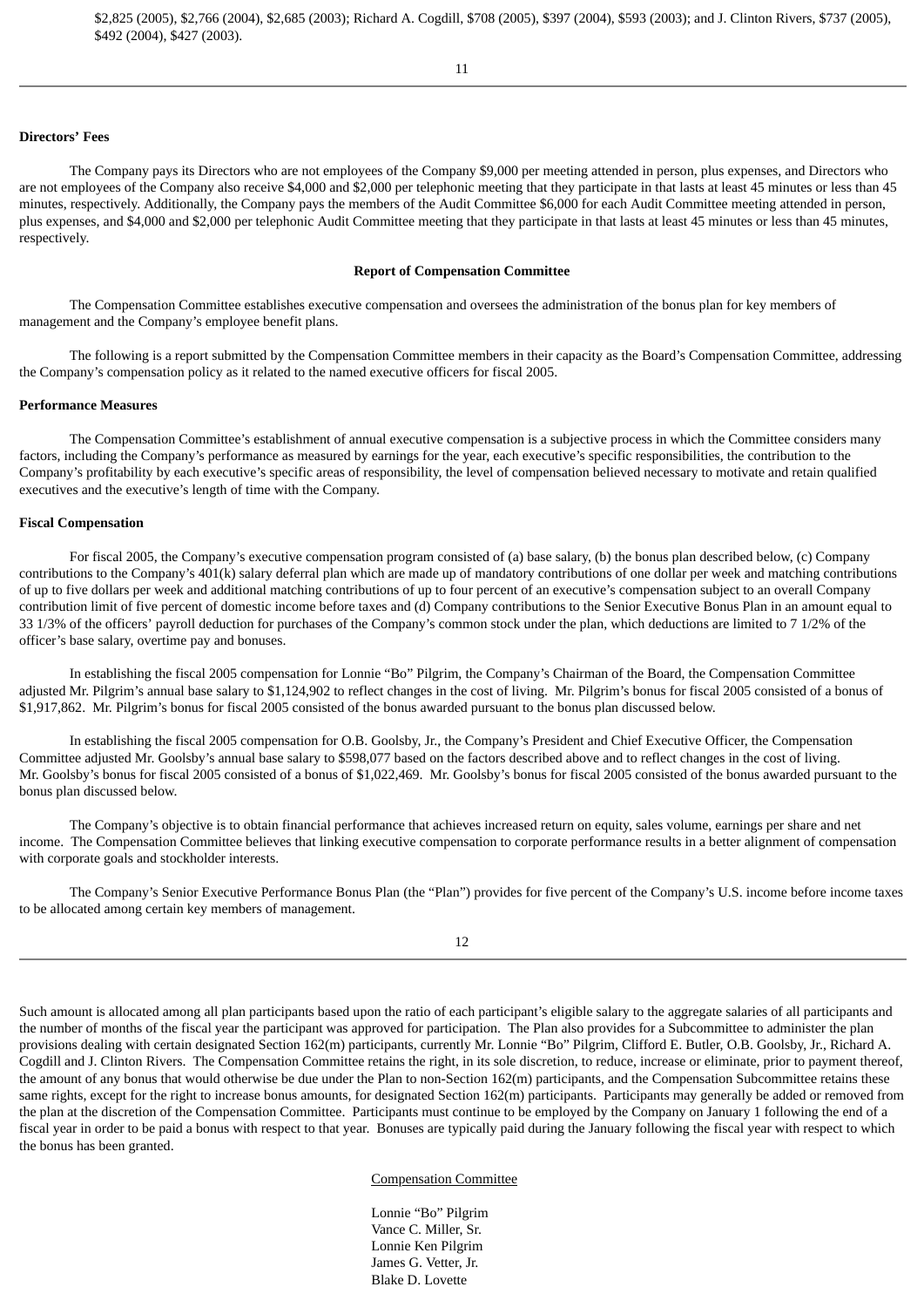# **Directors' Fees**

The Company pays its Directors who are not employees of the Company \$9,000 per meeting attended in person, plus expenses, and Directors who are not employees of the Company also receive \$4,000 and \$2,000 per telephonic meeting that they participate in that lasts at least 45 minutes or less than 45 minutes, respectively. Additionally, the Company pays the members of the Audit Committee \$6,000 for each Audit Committee meeting attended in person, plus expenses, and \$4,000 and \$2,000 per telephonic Audit Committee meeting that they participate in that lasts at least 45 minutes or less than 45 minutes, respectively.

#### **Report of Compensation Committee**

The Compensation Committee establishes executive compensation and oversees the administration of the bonus plan for key members of management and the Company's employee benefit plans.

The following is a report submitted by the Compensation Committee members in their capacity as the Board's Compensation Committee, addressing the Company's compensation policy as it related to the named executive officers for fiscal 2005.

# **Performance Measures**

The Compensation Committee's establishment of annual executive compensation is a subjective process in which the Committee considers many factors, including the Company's performance as measured by earnings for the year, each executive's specific responsibilities, the contribution to the Company's profitability by each executive's specific areas of responsibility, the level of compensation believed necessary to motivate and retain qualified executives and the executive's length of time with the Company.

#### **Fiscal Compensation**

For fiscal 2005, the Company's executive compensation program consisted of (a) base salary, (b) the bonus plan described below, (c) Company contributions to the Company's 401(k) salary deferral plan which are made up of mandatory contributions of one dollar per week and matching contributions of up to five dollars per week and additional matching contributions of up to four percent of an executive's compensation subject to an overall Company contribution limit of five percent of domestic income before taxes and (d) Company contributions to the Senior Executive Bonus Plan in an amount equal to 33 1/3% of the officers' payroll deduction for purchases of the Company's common stock under the plan, which deductions are limited to 7 1/2% of the officer's base salary, overtime pay and bonuses.

In establishing the fiscal 2005 compensation for Lonnie "Bo" Pilgrim, the Company's Chairman of the Board, the Compensation Committee adjusted Mr. Pilgrim's annual base salary to \$1,124,902 to reflect changes in the cost of living. Mr. Pilgrim's bonus for fiscal 2005 consisted of a bonus of \$1,917,862. Mr. Pilgrim's bonus for fiscal 2005 consisted of the bonus awarded pursuant to the bonus plan discussed below.

In establishing the fiscal 2005 compensation for O.B. Goolsby, Jr., the Company's President and Chief Executive Officer, the Compensation Committee adjusted Mr. Goolsby's annual base salary to \$598,077 based on the factors described above and to reflect changes in the cost of living. Mr. Goolsby's bonus for fiscal 2005 consisted of a bonus of \$1,022,469. Mr. Goolsby's bonus for fiscal 2005 consisted of the bonus awarded pursuant to the bonus plan discussed below.

The Company's objective is to obtain financial performance that achieves increased return on equity, sales volume, earnings per share and net income. The Compensation Committee believes that linking executive compensation to corporate performance results in a better alignment of compensation with corporate goals and stockholder interests.

The Company's Senior Executive Performance Bonus Plan (the "Plan") provides for five percent of the Company's U.S. income before income taxes to be allocated among certain key members of management.

12

Such amount is allocated among all plan participants based upon the ratio of each participant's eligible salary to the aggregate salaries of all participants and the number of months of the fiscal year the participant was approved for participation. The Plan also provides for a Subcommittee to administer the plan provisions dealing with certain designated Section 162(m) participants, currently Mr. Lonnie "Bo" Pilgrim, Clifford E. Butler, O.B. Goolsby, Jr., Richard A. Cogdill and J. Clinton Rivers. The Compensation Committee retains the right, in its sole discretion, to reduce, increase or eliminate, prior to payment thereof, the amount of any bonus that would otherwise be due under the Plan to non-Section 162(m) participants, and the Compensation Subcommittee retains these same rights, except for the right to increase bonus amounts, for designated Section 162(m) participants. Participants may generally be added or removed from the plan at the discretion of the Compensation Committee. Participants must continue to be employed by the Company on January 1 following the end of a fiscal year in order to be paid a bonus with respect to that year. Bonuses are typically paid during the January following the fiscal year with respect to which the bonus has been granted.

#### Compensation Committee

Lonnie "Bo" Pilgrim Vance C. Miller, Sr. Lonnie Ken Pilgrim James G. Vetter, Jr. Blake D. Lovette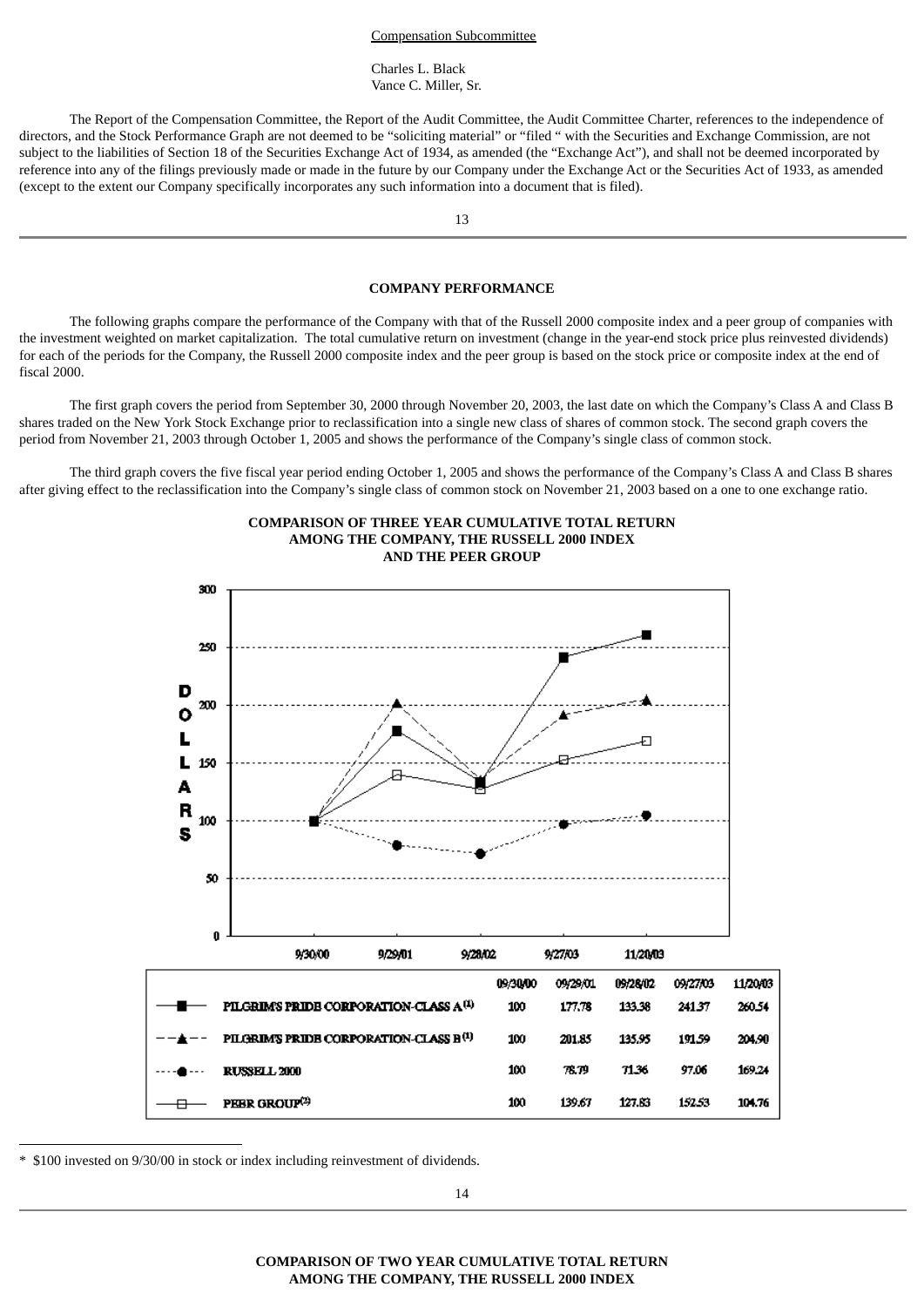#### Compensation Subcommittee

Charles L. Black Vance C. Miller, Sr.

The Report of the Compensation Committee, the Report of the Audit Committee, the Audit Committee Charter, references to the independence of directors, and the Stock Performance Graph are not deemed to be "soliciting material" or "filed " with the Securities and Exchange Commission, are not subject to the liabilities of Section 18 of the Securities Exchange Act of 1934, as amended (the "Exchange Act"), and shall not be deemed incorporated by reference into any of the filings previously made or made in the future by our Company under the Exchange Act or the Securities Act of 1933, as amended (except to the extent our Company specifically incorporates any such information into a document that is filed).

13

#### **COMPANY PERFORMANCE**

The following graphs compare the performance of the Company with that of the Russell 2000 composite index and a peer group of companies with the investment weighted on market capitalization. The total cumulative return on investment (change in the year-end stock price plus reinvested dividends) for each of the periods for the Company, the Russell 2000 composite index and the peer group is based on the stock price or composite index at the end of fiscal 2000.

The first graph covers the period from September 30, 2000 through November 20, 2003, the last date on which the Company's Class A and Class B shares traded on the New York Stock Exchange prior to reclassification into a single new class of shares of common stock. The second graph covers the period from November 21, 2003 through October 1, 2005 and shows the performance of the Company's single class of common stock.

The third graph covers the five fiscal year period ending October 1, 2005 and shows the performance of the Company's Class A and Class B shares after giving effect to the reclassification into the Company's single class of common stock on November 21, 2003 based on a one to one exchange ratio.





\* \$100 invested on 9/30/00 in stock or index including reinvestment of dividends.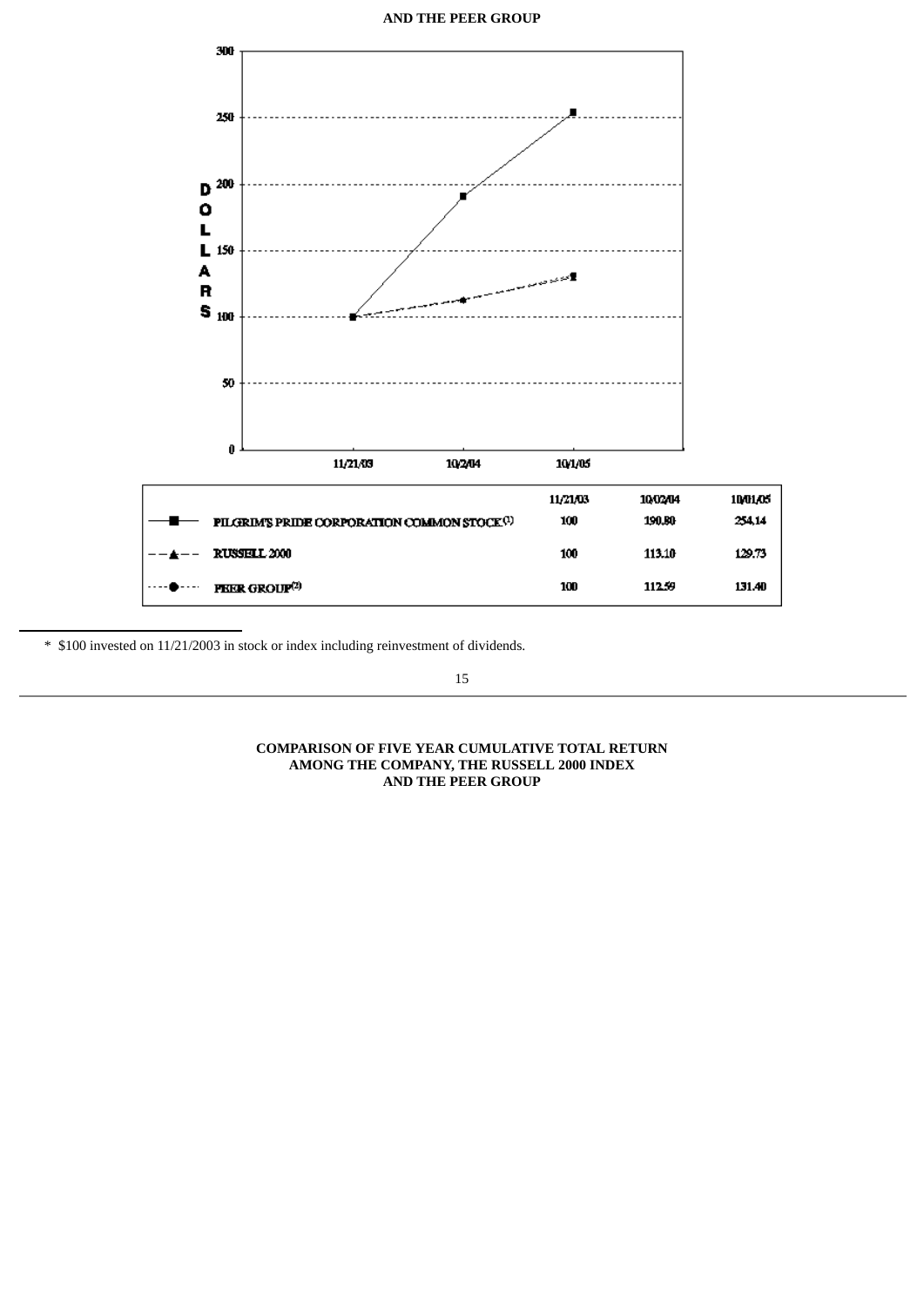**AND THE PEER GROUP**



\* \$100 invested on 11/21/2003 in stock or index including reinvestment of dividends.

15

# **COMPARISON OF FIVE YEAR CUMULATIVE TOTAL RETURN AMONG THE COMPANY, THE RUSSELL 2000 INDEX AND THE PEER GROUP**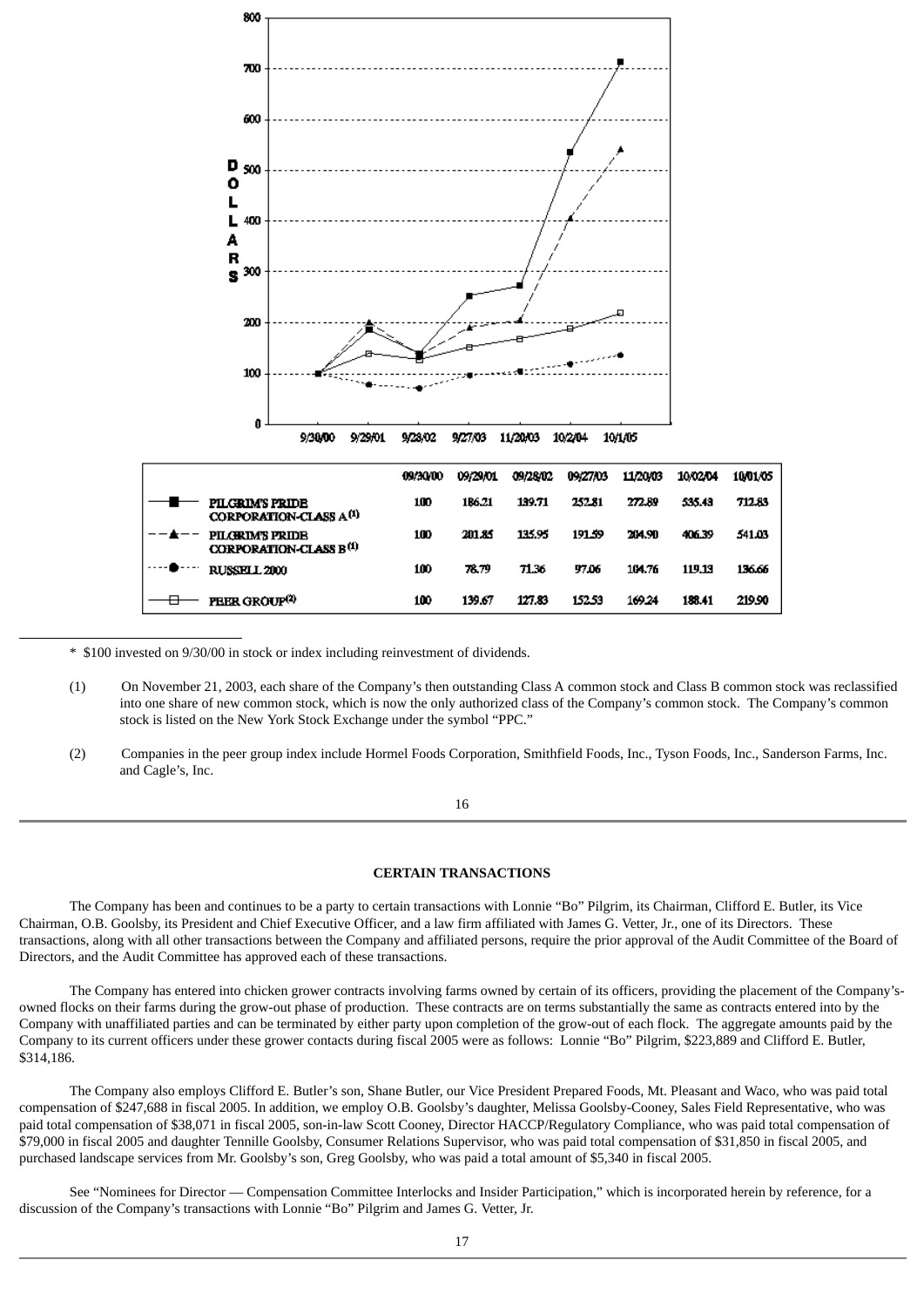

\* \$100 invested on 9/30/00 in stock or index including reinvestment of dividends.

- (1) On November 21, 2003, each share of the Company's then outstanding Class A common stock and Class B common stock was reclassified into one share of new common stock, which is now the only authorized class of the Company's common stock. The Company's common stock is listed on the New York Stock Exchange under the symbol "PPC."
- (2) Companies in the peer group index include Hormel Foods Corporation, Smithfield Foods, Inc., Tyson Foods, Inc., Sanderson Farms, Inc. and Cagle's, Inc.

# 16

# **CERTAIN TRANSACTIONS**

The Company has been and continues to be a party to certain transactions with Lonnie "Bo" Pilgrim, its Chairman, Clifford E. Butler, its Vice Chairman, O.B. Goolsby, its President and Chief Executive Officer, and a law firm affiliated with James G. Vetter, Jr., one of its Directors. These transactions, along with all other transactions between the Company and affiliated persons, require the prior approval of the Audit Committee of the Board of Directors, and the Audit Committee has approved each of these transactions.

The Company has entered into chicken grower contracts involving farms owned by certain of its officers, providing the placement of the Company'sowned flocks on their farms during the grow-out phase of production. These contracts are on terms substantially the same as contracts entered into by the Company with unaffiliated parties and can be terminated by either party upon completion of the grow-out of each flock. The aggregate amounts paid by the Company to its current officers under these grower contacts during fiscal 2005 were as follows: Lonnie "Bo" Pilgrim, \$223,889 and Clifford E. Butler, \$314,186.

The Company also employs Clifford E. Butler's son, Shane Butler, our Vice President Prepared Foods, Mt. Pleasant and Waco, who was paid total compensation of \$247,688 in fiscal 2005. In addition, we employ O.B. Goolsby's daughter, Melissa Goolsby-Cooney, Sales Field Representative, who was paid total compensation of \$38,071 in fiscal 2005, son-in-law Scott Cooney, Director HACCP/Regulatory Compliance, who was paid total compensation of \$79,000 in fiscal 2005 and daughter Tennille Goolsby, Consumer Relations Supervisor, who was paid total compensation of \$31,850 in fiscal 2005, and purchased landscape services from Mr. Goolsby's son, Greg Goolsby, who was paid a total amount of \$5,340 in fiscal 2005.

See "Nominees for Director — Compensation Committee Interlocks and Insider Participation," which is incorporated herein by reference, for a discussion of the Company's transactions with Lonnie "Bo" Pilgrim and James G. Vetter, Jr.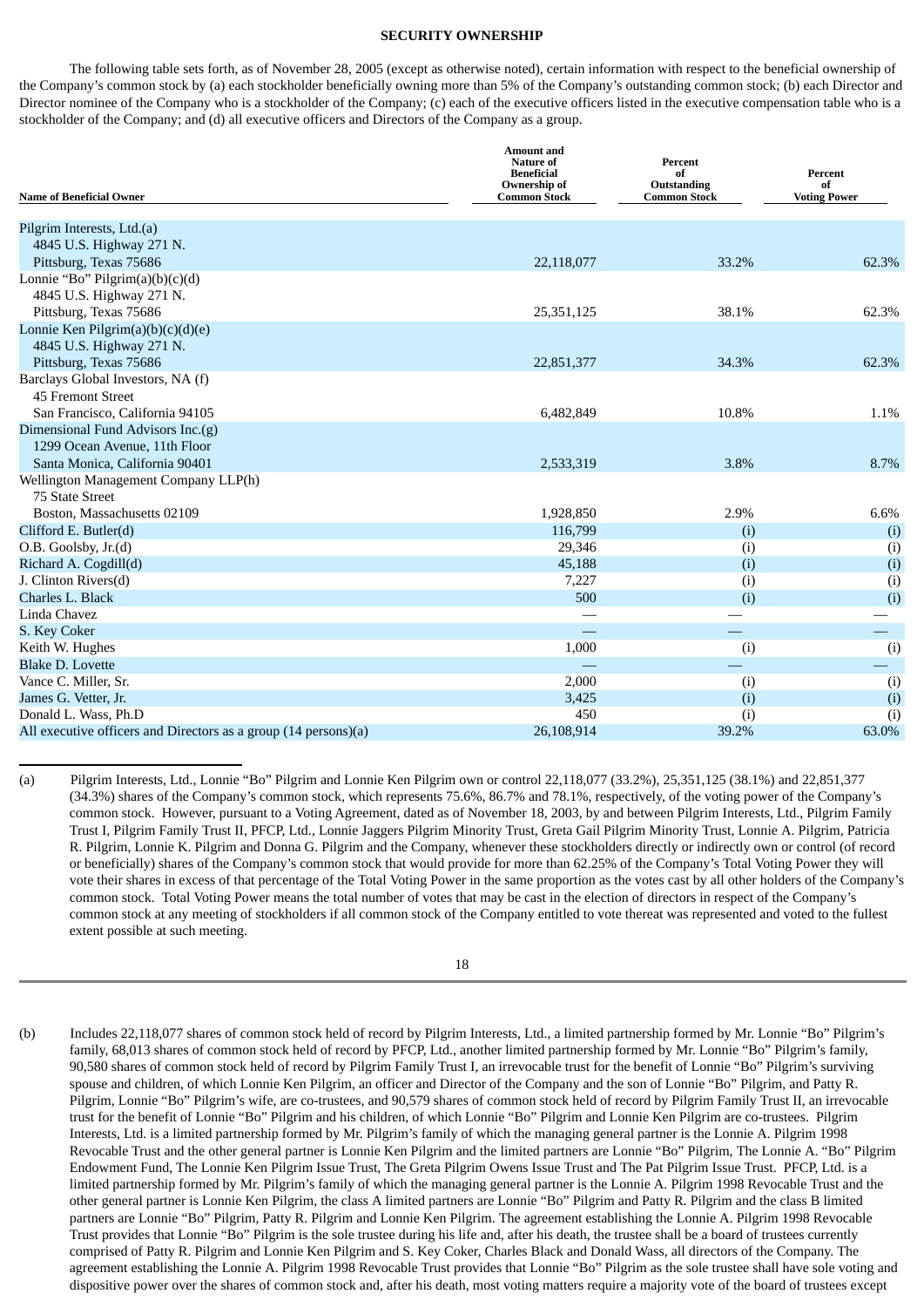#### **SECURITY OWNERSHIP**

The following table sets forth, as of November 28, 2005 (except as otherwise noted), certain information with respect to the beneficial ownership of the Company's common stock by (a) each stockholder beneficially owning more than 5% of the Company's outstanding common stock; (b) each Director and Director nominee of the Company who is a stockholder of the Company; (c) each of the executive officers listed in the executive compensation table who is a stockholder of the Company; and (d) all executive officers and Directors of the Company as a group.

| <b>Name of Beneficial Owner</b>                                 | <b>Amount and</b><br>Nature of<br><b>Beneficial</b><br>Ownership of<br><b>Common Stock</b> | Percent<br>of<br>Outstanding<br><b>Common Stock</b> | Percent<br>of<br><b>Voting Power</b> |  |
|-----------------------------------------------------------------|--------------------------------------------------------------------------------------------|-----------------------------------------------------|--------------------------------------|--|
| Pilgrim Interests, Ltd.(a)                                      |                                                                                            |                                                     |                                      |  |
| 4845 U.S. Highway 271 N.                                        |                                                                                            |                                                     |                                      |  |
| Pittsburg, Texas 75686                                          | 22,118,077                                                                                 | 33.2%                                               | 62.3%                                |  |
| Lonnie "Bo" Pilgrim(a)(b)(c)(d)                                 |                                                                                            |                                                     |                                      |  |
| 4845 U.S. Highway 271 N.                                        |                                                                                            |                                                     |                                      |  |
| Pittsburg, Texas 75686                                          | 25,351,125                                                                                 | 38.1%                                               | 62.3%                                |  |
| Lonnie Ken Pilgrim $(a)(b)(c)(d)(e)$                            |                                                                                            |                                                     |                                      |  |
| 4845 U.S. Highway 271 N.                                        |                                                                                            |                                                     |                                      |  |
| Pittsburg, Texas 75686                                          | 22,851,377                                                                                 | 34.3%                                               | 62.3%                                |  |
| Barclays Global Investors, NA (f)                               |                                                                                            |                                                     |                                      |  |
| 45 Fremont Street                                               |                                                                                            |                                                     |                                      |  |
| San Francisco, California 94105                                 | 6,482,849                                                                                  | 10.8%                                               | 1.1%                                 |  |
| Dimensional Fund Advisors Inc.(g)                               |                                                                                            |                                                     |                                      |  |
| 1299 Ocean Avenue, 11th Floor                                   |                                                                                            |                                                     |                                      |  |
| Santa Monica, California 90401                                  | 2,533,319                                                                                  | 3.8%                                                | 8.7%                                 |  |
| Wellington Management Company LLP(h)                            |                                                                                            |                                                     |                                      |  |
| 75 State Street                                                 |                                                                                            |                                                     |                                      |  |
| Boston, Massachusetts 02109                                     | 1,928,850                                                                                  | 2.9%                                                | 6.6%                                 |  |
| Clifford E. Butler(d)                                           | 116,799                                                                                    | (i)                                                 | (i)                                  |  |
| O.B. Goolsby, Jr.(d)                                            | 29,346                                                                                     | (i)                                                 | (i)                                  |  |
| Richard A. Cogdill(d)                                           | 45,188                                                                                     | (i)                                                 | (i)                                  |  |
| J. Clinton Rivers(d)                                            | 7,227                                                                                      | (i)                                                 | (i)                                  |  |
| Charles L. Black                                                | 500                                                                                        | (i)                                                 | (i)                                  |  |
| Linda Chavez                                                    |                                                                                            |                                                     |                                      |  |
| S. Key Coker                                                    |                                                                                            |                                                     |                                      |  |
| Keith W. Hughes                                                 | 1,000                                                                                      | (i)                                                 | (i)                                  |  |
| <b>Blake D. Lovette</b>                                         |                                                                                            |                                                     |                                      |  |
| Vance C. Miller, Sr.                                            | 2,000                                                                                      | (i)                                                 | (i)                                  |  |
| James G. Vetter, Jr.                                            | 3,425                                                                                      | (i)                                                 | (i)                                  |  |
| Donald L. Wass, Ph.D                                            | 450                                                                                        | (i)                                                 | (i)                                  |  |
| All executive officers and Directors as a group (14 persons)(a) | 26,108,914                                                                                 | 39.2%                                               | 63.0%                                |  |

(a) Pilgrim Interests, Ltd., Lonnie "Bo" Pilgrim and Lonnie Ken Pilgrim own or control 22,118,077 (33.2%), 25,351,125 (38.1%) and 22,851,377 (34.3%) shares of the Company's common stock, which represents 75.6%, 86.7% and 78.1%, respectively, of the voting power of the Company's common stock. However, pursuant to a Voting Agreement, dated as of November 18, 2003, by and between Pilgrim Interests, Ltd., Pilgrim Family Trust I, Pilgrim Family Trust II, PFCP, Ltd., Lonnie Jaggers Pilgrim Minority Trust, Greta Gail Pilgrim Minority Trust, Lonnie A. Pilgrim, Patricia R. Pilgrim, Lonnie K. Pilgrim and Donna G. Pilgrim and the Company, whenever these stockholders directly or indirectly own or control (of record or beneficially) shares of the Company's common stock that would provide for more than 62.25% of the Company's Total Voting Power they will vote their shares in excess of that percentage of the Total Voting Power in the same proportion as the votes cast by all other holders of the Company's common stock. Total Voting Power means the total number of votes that may be cast in the election of directors in respect of the Company's common stock at any meeting of stockholders if all common stock of the Company entitled to vote thereat was represented and voted to the fullest extent possible at such meeting.

# 18

(b) Includes 22,118,077 shares of common stock held of record by Pilgrim Interests, Ltd., a limited partnership formed by Mr. Lonnie "Bo" Pilgrim's family, 68,013 shares of common stock held of record by PFCP, Ltd., another limited partnership formed by Mr. Lonnie "Bo" Pilgrim's family, 90,580 shares of common stock held of record by Pilgrim Family Trust I, an irrevocable trust for the benefit of Lonnie "Bo" Pilgrim's surviving spouse and children, of which Lonnie Ken Pilgrim, an officer and Director of the Company and the son of Lonnie "Bo" Pilgrim, and Patty R. Pilgrim, Lonnie "Bo" Pilgrim's wife, are co-trustees, and 90,579 shares of common stock held of record by Pilgrim Family Trust II, an irrevocable trust for the benefit of Lonnie "Bo" Pilgrim and his children, of which Lonnie "Bo" Pilgrim and Lonnie Ken Pilgrim are co-trustees. Pilgrim Interests, Ltd. is a limited partnership formed by Mr. Pilgrim's family of which the managing general partner is the Lonnie A. Pilgrim 1998 Revocable Trust and the other general partner is Lonnie Ken Pilgrim and the limited partners are Lonnie "Bo" Pilgrim, The Lonnie A. "Bo" Pilgrim Endowment Fund, The Lonnie Ken Pilgrim Issue Trust, The Greta Pilgrim Owens Issue Trust and The Pat Pilgrim Issue Trust. PFCP, Ltd. is a limited partnership formed by Mr. Pilgrim's family of which the managing general partner is the Lonnie A. Pilgrim 1998 Revocable Trust and the other general partner is Lonnie Ken Pilgrim, the class A limited partners are Lonnie "Bo" Pilgrim and Patty R. Pilgrim and the class B limited partners are Lonnie "Bo" Pilgrim, Patty R. Pilgrim and Lonnie Ken Pilgrim. The agreement establishing the Lonnie A. Pilgrim 1998 Revocable Trust provides that Lonnie "Bo" Pilgrim is the sole trustee during his life and, after his death, the trustee shall be a board of trustees currently comprised of Patty R. Pilgrim and Lonnie Ken Pilgrim and S. Key Coker, Charles Black and Donald Wass, all directors of the Company. The agreement establishing the Lonnie A. Pilgrim 1998 Revocable Trust provides that Lonnie "Bo" Pilgrim as the sole trustee shall have sole voting and dispositive power over the shares of common stock and, after his death, most voting matters require a majority vote of the board of trustees except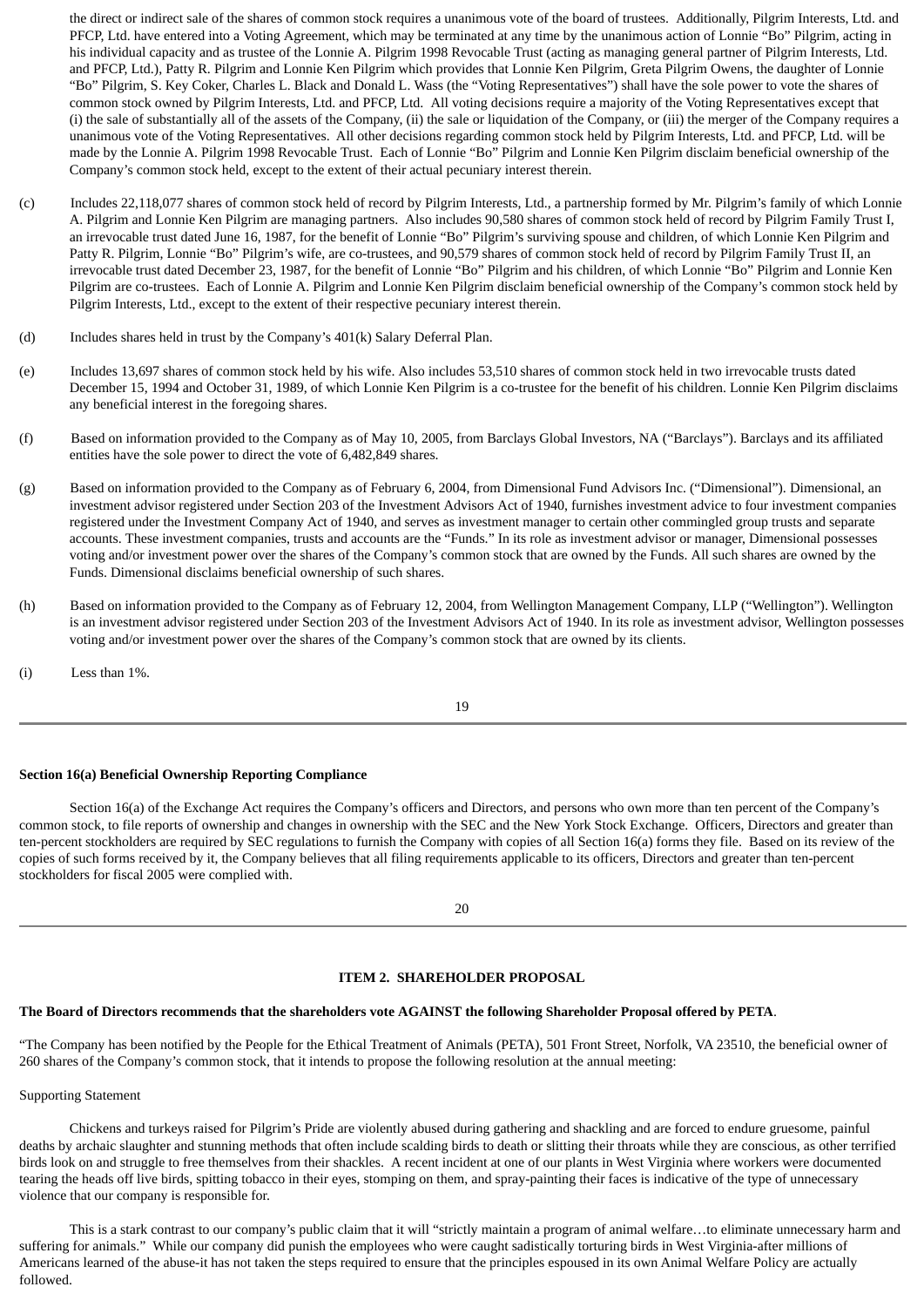the direct or indirect sale of the shares of common stock requires a unanimous vote of the board of trustees. Additionally, Pilgrim Interests, Ltd. and PFCP, Ltd. have entered into a Voting Agreement, which may be terminated at any time by the unanimous action of Lonnie "Bo" Pilgrim, acting in his individual capacity and as trustee of the Lonnie A. Pilgrim 1998 Revocable Trust (acting as managing general partner of Pilgrim Interests, Ltd. and PFCP, Ltd.), Patty R. Pilgrim and Lonnie Ken Pilgrim which provides that Lonnie Ken Pilgrim, Greta Pilgrim Owens, the daughter of Lonnie "Bo" Pilgrim, S. Key Coker, Charles L. Black and Donald L. Wass (the "Voting Representatives") shall have the sole power to vote the shares of common stock owned by Pilgrim Interests, Ltd. and PFCP, Ltd. All voting decisions require a majority of the Voting Representatives except that (i) the sale of substantially all of the assets of the Company, (ii) the sale or liquidation of the Company, or (iii) the merger of the Company requires a unanimous vote of the Voting Representatives. All other decisions regarding common stock held by Pilgrim Interests, Ltd. and PFCP, Ltd. will be made by the Lonnie A. Pilgrim 1998 Revocable Trust. Each of Lonnie "Bo" Pilgrim and Lonnie Ken Pilgrim disclaim beneficial ownership of the Company's common stock held, except to the extent of their actual pecuniary interest therein.

- (c) Includes 22,118,077 shares of common stock held of record by Pilgrim Interests, Ltd., a partnership formed by Mr. Pilgrim's family of which Lonnie A. Pilgrim and Lonnie Ken Pilgrim are managing partners. Also includes 90,580 shares of common stock held of record by Pilgrim Family Trust I, an irrevocable trust dated June 16, 1987, for the benefit of Lonnie "Bo" Pilgrim's surviving spouse and children, of which Lonnie Ken Pilgrim and Patty R. Pilgrim, Lonnie "Bo" Pilgrim's wife, are co-trustees, and 90,579 shares of common stock held of record by Pilgrim Family Trust II, an irrevocable trust dated December 23, 1987, for the benefit of Lonnie "Bo" Pilgrim and his children, of which Lonnie "Bo" Pilgrim and Lonnie Ken Pilgrim are co-trustees. Each of Lonnie A. Pilgrim and Lonnie Ken Pilgrim disclaim beneficial ownership of the Company's common stock held by Pilgrim Interests, Ltd., except to the extent of their respective pecuniary interest therein.
- (d) Includes shares held in trust by the Company's 401(k) Salary Deferral Plan.
- (e) Includes 13,697 shares of common stock held by his wife. Also includes 53,510 shares of common stock held in two irrevocable trusts dated December 15, 1994 and October 31, 1989, of which Lonnie Ken Pilgrim is a co-trustee for the benefit of his children. Lonnie Ken Pilgrim disclaims any beneficial interest in the foregoing shares.
- (f) Based on information provided to the Company as of May 10, 2005, from Barclays Global Investors, NA ("Barclays"). Barclays and its affiliated entities have the sole power to direct the vote of 6,482,849 shares.
- (g) Based on information provided to the Company as of February 6, 2004, from Dimensional Fund Advisors Inc. ("Dimensional"). Dimensional, an investment advisor registered under Section 203 of the Investment Advisors Act of 1940, furnishes investment advice to four investment companies registered under the Investment Company Act of 1940, and serves as investment manager to certain other commingled group trusts and separate accounts. These investment companies, trusts and accounts are the "Funds." In its role as investment advisor or manager, Dimensional possesses voting and/or investment power over the shares of the Company's common stock that are owned by the Funds. All such shares are owned by the Funds. Dimensional disclaims beneficial ownership of such shares.
- (h) Based on information provided to the Company as of February 12, 2004, from Wellington Management Company, LLP ("Wellington"). Wellington is an investment advisor registered under Section 203 of the Investment Advisors Act of 1940. In its role as investment advisor, Wellington possesses voting and/or investment power over the shares of the Company's common stock that are owned by its clients.
- (i) Less than 1%.

19

# **Section 16(a) Beneficial Ownership Reporting Compliance**

Section 16(a) of the Exchange Act requires the Company's officers and Directors, and persons who own more than ten percent of the Company's common stock, to file reports of ownership and changes in ownership with the SEC and the New York Stock Exchange. Officers, Directors and greater than ten-percent stockholders are required by SEC regulations to furnish the Company with copies of all Section 16(a) forms they file. Based on its review of the copies of such forms received by it, the Company believes that all filing requirements applicable to its officers, Directors and greater than ten-percent stockholders for fiscal 2005 were complied with.

20

# **ITEM 2. SHAREHOLDER PROPOSAL**

#### **The Board of Directors recommends that the shareholders vote AGAINST the following Shareholder Proposal offered by PETA**.

"The Company has been notified by the People for the Ethical Treatment of Animals (PETA), 501 Front Street, Norfolk, VA 23510, the beneficial owner of 260 shares of the Company's common stock, that it intends to propose the following resolution at the annual meeting:

Supporting Statement

Chickens and turkeys raised for Pilgrim's Pride are violently abused during gathering and shackling and are forced to endure gruesome, painful deaths by archaic slaughter and stunning methods that often include scalding birds to death or slitting their throats while they are conscious, as other terrified birds look on and struggle to free themselves from their shackles. A recent incident at one of our plants in West Virginia where workers were documented tearing the heads off live birds, spitting tobacco in their eyes, stomping on them, and spray-painting their faces is indicative of the type of unnecessary violence that our company is responsible for.

This is a stark contrast to our company's public claim that it will "strictly maintain a program of animal welfare…to eliminate unnecessary harm and suffering for animals." While our company did punish the employees who were caught sadistically torturing birds in West Virginia-after millions of Americans learned of the abuse-it has not taken the steps required to ensure that the principles espoused in its own Animal Welfare Policy are actually followed.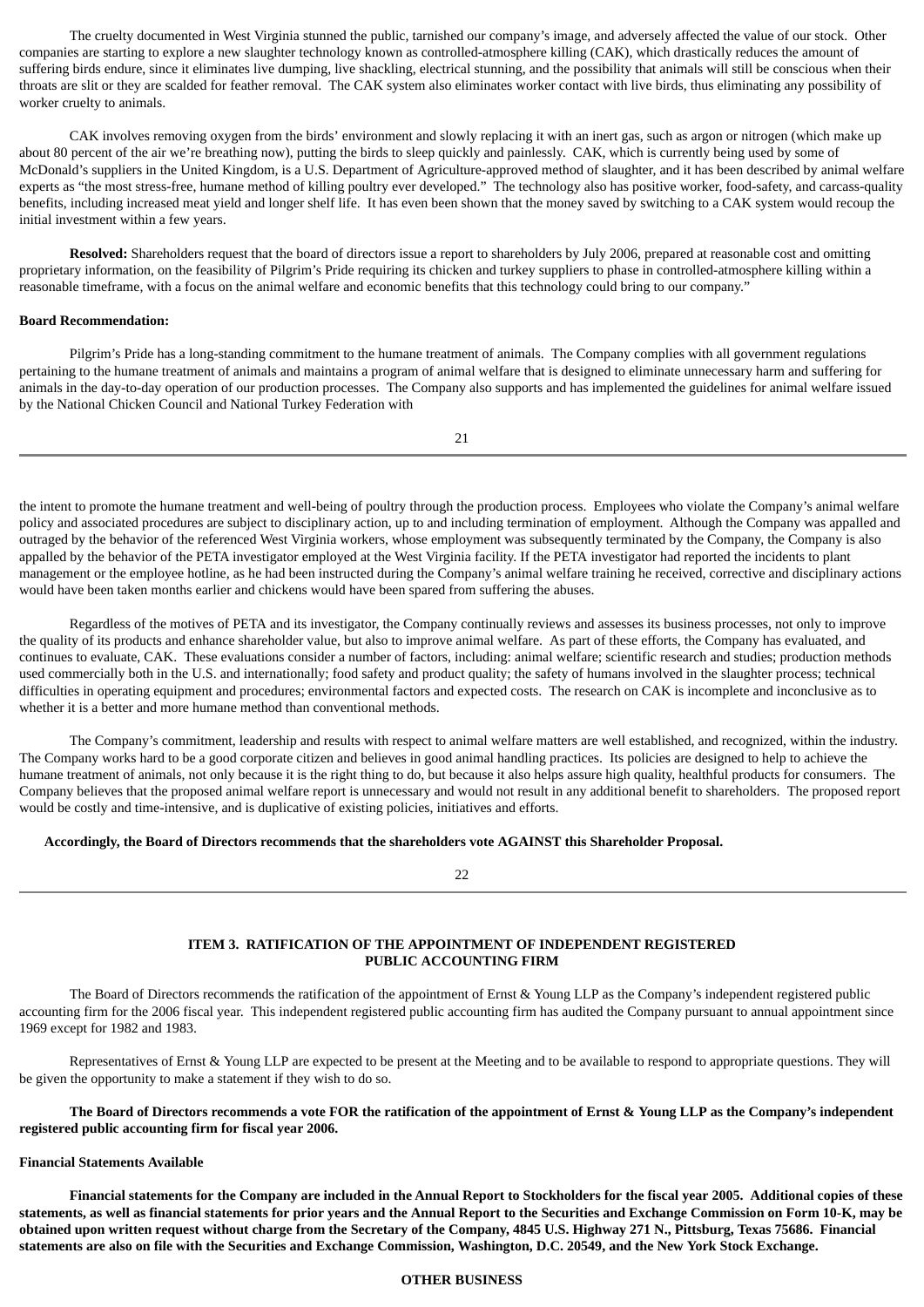The cruelty documented in West Virginia stunned the public, tarnished our company's image, and adversely affected the value of our stock. Other companies are starting to explore a new slaughter technology known as controlled-atmosphere killing (CAK), which drastically reduces the amount of suffering birds endure, since it eliminates live dumping, live shackling, electrical stunning, and the possibility that animals will still be conscious when their throats are slit or they are scalded for feather removal. The CAK system also eliminates worker contact with live birds, thus eliminating any possibility of worker cruelty to animals.

CAK involves removing oxygen from the birds' environment and slowly replacing it with an inert gas, such as argon or nitrogen (which make up about 80 percent of the air we're breathing now), putting the birds to sleep quickly and painlessly. CAK, which is currently being used by some of McDonald's suppliers in the United Kingdom, is a U.S. Department of Agriculture-approved method of slaughter, and it has been described by animal welfare experts as "the most stress-free, humane method of killing poultry ever developed." The technology also has positive worker, food-safety, and carcass-quality benefits, including increased meat yield and longer shelf life. It has even been shown that the money saved by switching to a CAK system would recoup the initial investment within a few years.

**Resolved:** Shareholders request that the board of directors issue a report to shareholders by July 2006, prepared at reasonable cost and omitting proprietary information, on the feasibility of Pilgrim's Pride requiring its chicken and turkey suppliers to phase in controlled-atmosphere killing within a reasonable timeframe, with a focus on the animal welfare and economic benefits that this technology could bring to our company."

#### **Board Recommendation:**

Pilgrim's Pride has a long-standing commitment to the humane treatment of animals. The Company complies with all government regulations pertaining to the humane treatment of animals and maintains a program of animal welfare that is designed to eliminate unnecessary harm and suffering for animals in the day-to-day operation of our production processes. The Company also supports and has implemented the guidelines for animal welfare issued by the National Chicken Council and National Turkey Federation with

21

the intent to promote the humane treatment and well-being of poultry through the production process. Employees who violate the Company's animal welfare policy and associated procedures are subject to disciplinary action, up to and including termination of employment. Although the Company was appalled and outraged by the behavior of the referenced West Virginia workers, whose employment was subsequently terminated by the Company, the Company is also appalled by the behavior of the PETA investigator employed at the West Virginia facility. If the PETA investigator had reported the incidents to plant management or the employee hotline, as he had been instructed during the Company's animal welfare training he received, corrective and disciplinary actions would have been taken months earlier and chickens would have been spared from suffering the abuses.

Regardless of the motives of PETA and its investigator, the Company continually reviews and assesses its business processes, not only to improve the quality of its products and enhance shareholder value, but also to improve animal welfare. As part of these efforts, the Company has evaluated, and continues to evaluate, CAK. These evaluations consider a number of factors, including: animal welfare; scientific research and studies; production methods used commercially both in the U.S. and internationally; food safety and product quality; the safety of humans involved in the slaughter process; technical difficulties in operating equipment and procedures; environmental factors and expected costs. The research on CAK is incomplete and inconclusive as to whether it is a better and more humane method than conventional methods.

The Company's commitment, leadership and results with respect to animal welfare matters are well established, and recognized, within the industry. The Company works hard to be a good corporate citizen and believes in good animal handling practices. Its policies are designed to help to achieve the humane treatment of animals, not only because it is the right thing to do, but because it also helps assure high quality, healthful products for consumers. The Company believes that the proposed animal welfare report is unnecessary and would not result in any additional benefit to shareholders. The proposed report would be costly and time-intensive, and is duplicative of existing policies, initiatives and efforts.

# **Accordingly, the Board of Directors recommends that the shareholders vote AGAINST this Shareholder Proposal.**

22

# **ITEM 3. RATIFICATION OF THE APPOINTMENT OF INDEPENDENT REGISTERED PUBLIC ACCOUNTING FIRM**

The Board of Directors recommends the ratification of the appointment of Ernst & Young LLP as the Company's independent registered public accounting firm for the 2006 fiscal year. This independent registered public accounting firm has audited the Company pursuant to annual appointment since 1969 except for 1982 and 1983.

Representatives of Ernst & Young LLP are expected to be present at the Meeting and to be available to respond to appropriate questions. They will be given the opportunity to make a statement if they wish to do so.

The Board of Directors recommends a vote FOR the ratification of the appointment of Ernst & Young LLP as the Company's independent **registered public accounting firm for fiscal year 2006.**

#### **Financial Statements Available**

Financial statements for the Company are included in the Annual Report to Stockholders for the fiscal year 2005. Additional copies of these statements, as well as financial statements for prior years and the Annual Report to the Securities and Exchange Commission on Form 10-K, may be obtained upon written request without charge from the Secretary of the Company, 4845 U.S. Highway 271 N., Pittsburg, Texas 75686. Financial statements are also on file with the Securities and Exchange Commission, Washington, D.C. 20549, and the New York Stock Exchange.

# **OTHER BUSINESS**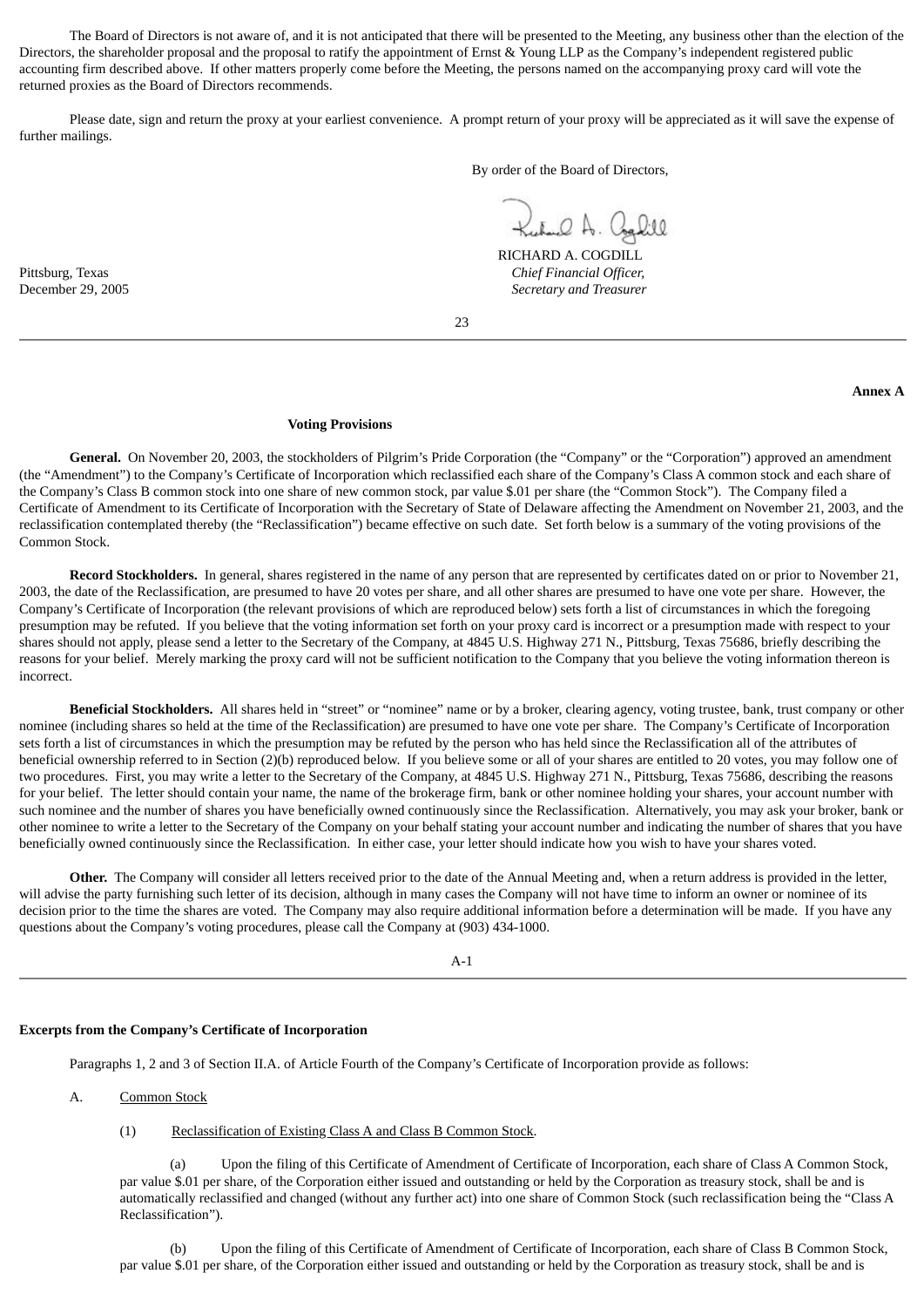The Board of Directors is not aware of, and it is not anticipated that there will be presented to the Meeting, any business other than the election of the Directors, the shareholder proposal and the proposal to ratify the appointment of Ernst & Young LLP as the Company's independent registered public accounting firm described above. If other matters properly come before the Meeting, the persons named on the accompanying proxy card will vote the returned proxies as the Board of Directors recommends.

Please date, sign and return the proxy at your earliest convenience. A prompt return of your proxy will be appreciated as it will save the expense of further mailings.

By order of the Board of Directors,

Kuhal A. Coghill

RICHARD A. COGDILL Pittsburg, Texas *Chief Financial Officer,* December 29, 2005 *Secretary and Treasurer*

23

#### **Annex A**

#### **Voting Provisions**

**General.** On November 20, 2003, the stockholders of Pilgrim's Pride Corporation (the "Company" or the "Corporation") approved an amendment (the "Amendment") to the Company's Certificate of Incorporation which reclassified each share of the Company's Class A common stock and each share of the Company's Class B common stock into one share of new common stock, par value \$.01 per share (the "Common Stock"). The Company filed a Certificate of Amendment to its Certificate of Incorporation with the Secretary of State of Delaware affecting the Amendment on November 21, 2003, and the reclassification contemplated thereby (the "Reclassification") became effective on such date. Set forth below is a summary of the voting provisions of the Common Stock.

**Record Stockholders.** In general, shares registered in the name of any person that are represented by certificates dated on or prior to November 21, 2003, the date of the Reclassification, are presumed to have 20 votes per share, and all other shares are presumed to have one vote per share. However, the Company's Certificate of Incorporation (the relevant provisions of which are reproduced below) sets forth a list of circumstances in which the foregoing presumption may be refuted. If you believe that the voting information set forth on your proxy card is incorrect or a presumption made with respect to your shares should not apply, please send a letter to the Secretary of the Company, at 4845 U.S. Highway 271 N., Pittsburg, Texas 75686, briefly describing the reasons for your belief. Merely marking the proxy card will not be sufficient notification to the Company that you believe the voting information thereon is incorrect.

**Beneficial Stockholders.** All shares held in "street" or "nominee" name or by a broker, clearing agency, voting trustee, bank, trust company or other nominee (including shares so held at the time of the Reclassification) are presumed to have one vote per share. The Company's Certificate of Incorporation sets forth a list of circumstances in which the presumption may be refuted by the person who has held since the Reclassification all of the attributes of beneficial ownership referred to in Section (2)(b) reproduced below. If you believe some or all of your shares are entitled to 20 votes, you may follow one of two procedures. First, you may write a letter to the Secretary of the Company, at 4845 U.S. Highway 271 N., Pittsburg, Texas 75686, describing the reasons for your belief. The letter should contain your name, the name of the brokerage firm, bank or other nominee holding your shares, your account number with such nominee and the number of shares you have beneficially owned continuously since the Reclassification. Alternatively, you may ask your broker, bank or other nominee to write a letter to the Secretary of the Company on your behalf stating your account number and indicating the number of shares that you have beneficially owned continuously since the Reclassification. In either case, your letter should indicate how you wish to have your shares voted.

**Other.** The Company will consider all letters received prior to the date of the Annual Meeting and, when a return address is provided in the letter, will advise the party furnishing such letter of its decision, although in many cases the Company will not have time to inform an owner or nominee of its decision prior to the time the shares are voted. The Company may also require additional information before a determination will be made. If you have any questions about the Company's voting procedures, please call the Company at (903) 434-1000.

A-1

# **Excerpts from the Company's Certificate of Incorporation**

Paragraphs 1, 2 and 3 of Section II.A. of Article Fourth of the Company's Certificate of Incorporation provide as follows:

# A. Common Stock

# (1) Reclassification of Existing Class A and Class B Common Stock.

(a) Upon the filing of this Certificate of Amendment of Certificate of Incorporation, each share of Class A Common Stock, par value \$.01 per share, of the Corporation either issued and outstanding or held by the Corporation as treasury stock, shall be and is automatically reclassified and changed (without any further act) into one share of Common Stock (such reclassification being the "Class A Reclassification").

Upon the filing of this Certificate of Amendment of Certificate of Incorporation, each share of Class B Common Stock, par value \$.01 per share, of the Corporation either issued and outstanding or held by the Corporation as treasury stock, shall be and is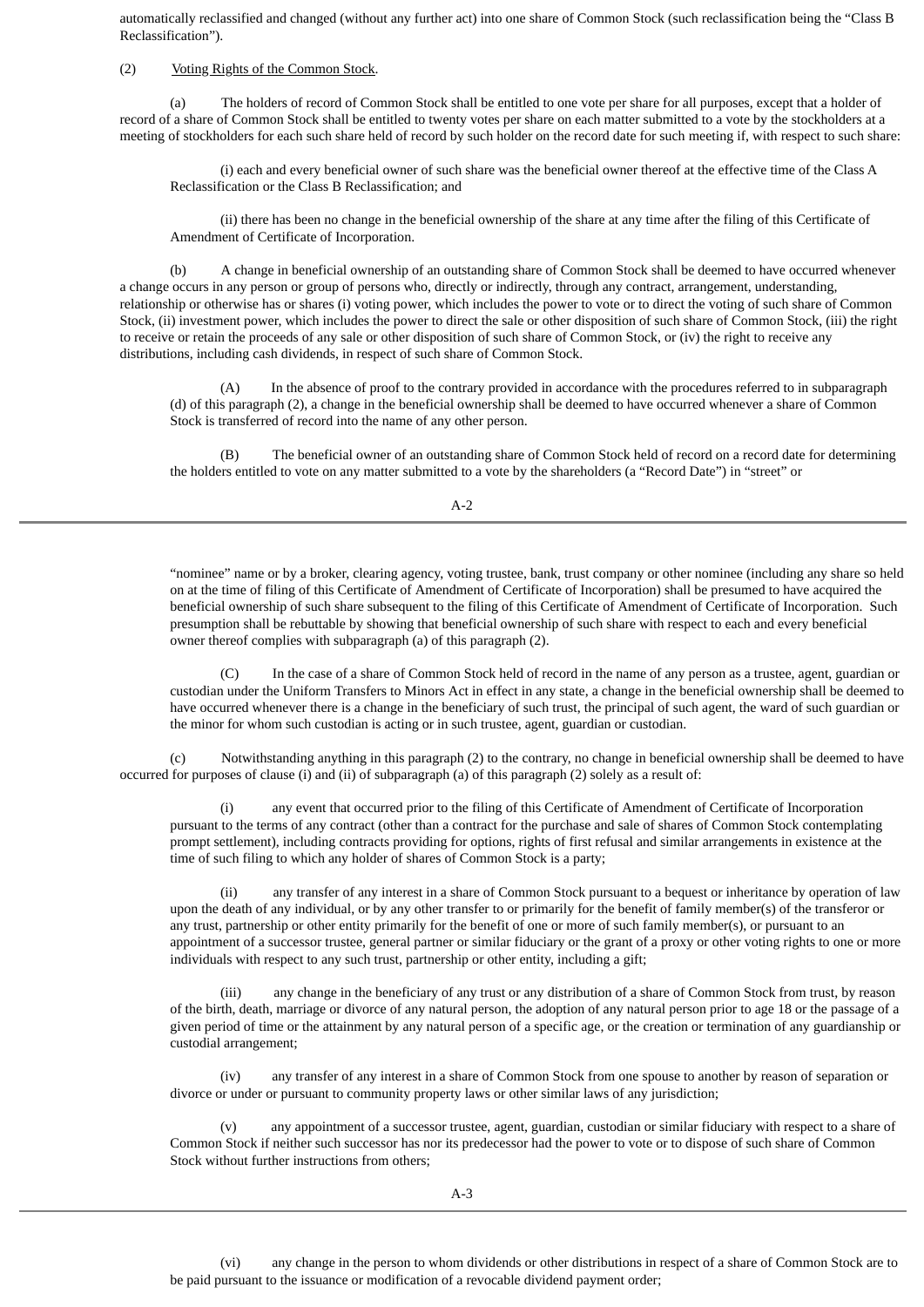automatically reclassified and changed (without any further act) into one share of Common Stock (such reclassification being the "Class B Reclassification").

#### (2) Voting Rights of the Common Stock.

(a) The holders of record of Common Stock shall be entitled to one vote per share for all purposes, except that a holder of record of a share of Common Stock shall be entitled to twenty votes per share on each matter submitted to a vote by the stockholders at a meeting of stockholders for each such share held of record by such holder on the record date for such meeting if, with respect to such share:

(i) each and every beneficial owner of such share was the beneficial owner thereof at the effective time of the Class A Reclassification or the Class B Reclassification; and

(ii) there has been no change in the beneficial ownership of the share at any time after the filing of this Certificate of Amendment of Certificate of Incorporation.

(b) A change in beneficial ownership of an outstanding share of Common Stock shall be deemed to have occurred whenever a change occurs in any person or group of persons who, directly or indirectly, through any contract, arrangement, understanding, relationship or otherwise has or shares (i) voting power, which includes the power to vote or to direct the voting of such share of Common Stock, (ii) investment power, which includes the power to direct the sale or other disposition of such share of Common Stock, (iii) the right to receive or retain the proceeds of any sale or other disposition of such share of Common Stock, or (iv) the right to receive any distributions, including cash dividends, in respect of such share of Common Stock.

(A) In the absence of proof to the contrary provided in accordance with the procedures referred to in subparagraph (d) of this paragraph (2), a change in the beneficial ownership shall be deemed to have occurred whenever a share of Common Stock is transferred of record into the name of any other person.

(B) The beneficial owner of an outstanding share of Common Stock held of record on a record date for determining the holders entitled to vote on any matter submitted to a vote by the shareholders (a "Record Date") in "street" or

 $A-2$ 

"nominee" name or by a broker, clearing agency, voting trustee, bank, trust company or other nominee (including any share so held on at the time of filing of this Certificate of Amendment of Certificate of Incorporation) shall be presumed to have acquired the beneficial ownership of such share subsequent to the filing of this Certificate of Amendment of Certificate of Incorporation. Such presumption shall be rebuttable by showing that beneficial ownership of such share with respect to each and every beneficial owner thereof complies with subparagraph (a) of this paragraph (2).

(C) In the case of a share of Common Stock held of record in the name of any person as a trustee, agent, guardian or custodian under the Uniform Transfers to Minors Act in effect in any state, a change in the beneficial ownership shall be deemed to have occurred whenever there is a change in the beneficiary of such trust, the principal of such agent, the ward of such guardian or the minor for whom such custodian is acting or in such trustee, agent, guardian or custodian.

(c) Notwithstanding anything in this paragraph (2) to the contrary, no change in beneficial ownership shall be deemed to have occurred for purposes of clause (i) and (ii) of subparagraph (a) of this paragraph (2) solely as a result of:

(i) any event that occurred prior to the filing of this Certificate of Amendment of Certificate of Incorporation pursuant to the terms of any contract (other than a contract for the purchase and sale of shares of Common Stock contemplating prompt settlement), including contracts providing for options, rights of first refusal and similar arrangements in existence at the time of such filing to which any holder of shares of Common Stock is a party;

(ii) any transfer of any interest in a share of Common Stock pursuant to a bequest or inheritance by operation of law upon the death of any individual, or by any other transfer to or primarily for the benefit of family member(s) of the transferor or any trust, partnership or other entity primarily for the benefit of one or more of such family member(s), or pursuant to an appointment of a successor trustee, general partner or similar fiduciary or the grant of a proxy or other voting rights to one or more individuals with respect to any such trust, partnership or other entity, including a gift;

(iii) any change in the beneficiary of any trust or any distribution of a share of Common Stock from trust, by reason of the birth, death, marriage or divorce of any natural person, the adoption of any natural person prior to age 18 or the passage of a given period of time or the attainment by any natural person of a specific age, or the creation or termination of any guardianship or custodial arrangement;

(iv) any transfer of any interest in a share of Common Stock from one spouse to another by reason of separation or divorce or under or pursuant to community property laws or other similar laws of any jurisdiction;

(v) any appointment of a successor trustee, agent, guardian, custodian or similar fiduciary with respect to a share of Common Stock if neither such successor has nor its predecessor had the power to vote or to dispose of such share of Common Stock without further instructions from others;

(vi) any change in the person to whom dividends or other distributions in respect of a share of Common Stock are to be paid pursuant to the issuance or modification of a revocable dividend payment order;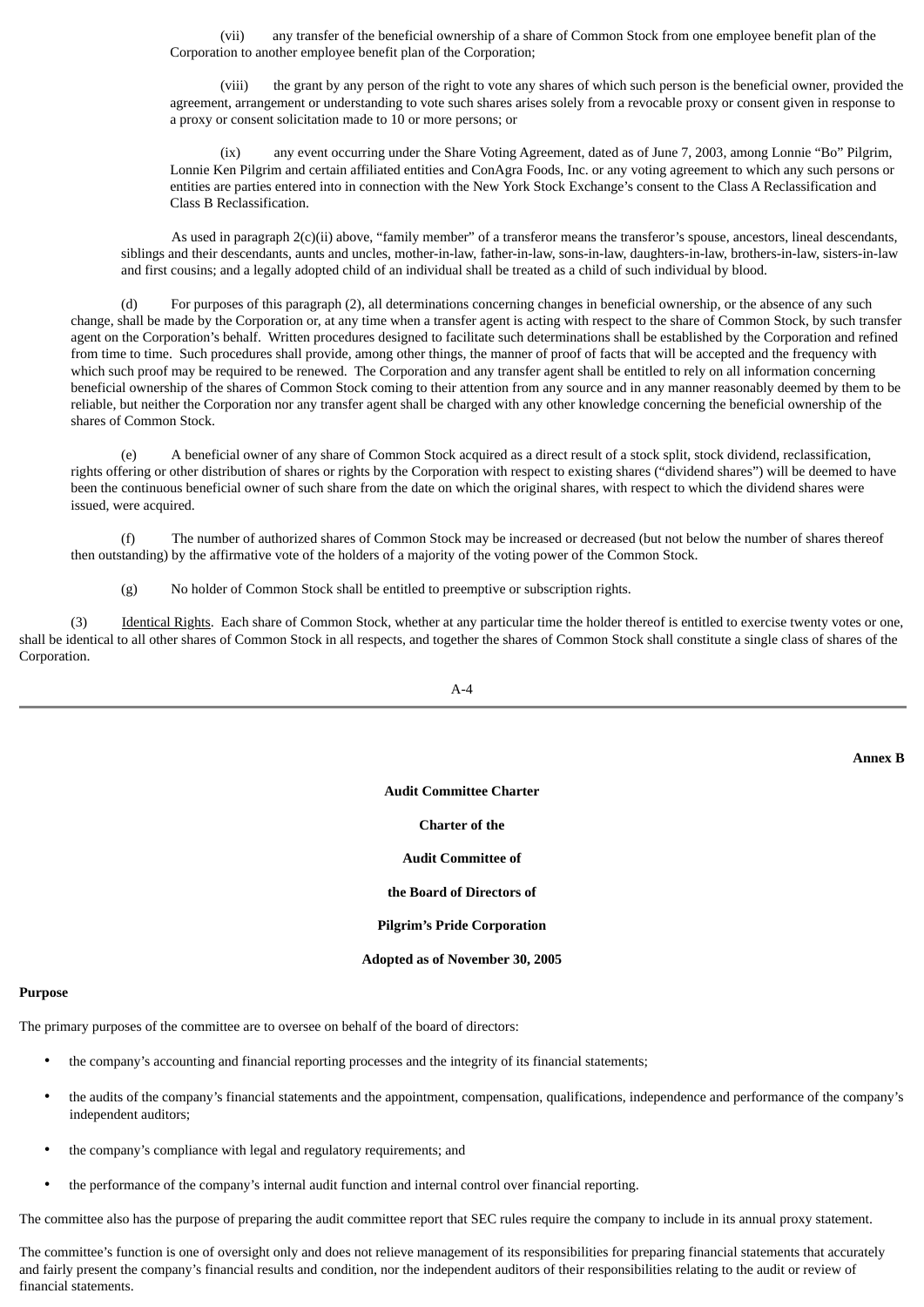(vii) any transfer of the beneficial ownership of a share of Common Stock from one employee benefit plan of the Corporation to another employee benefit plan of the Corporation;

(viii) the grant by any person of the right to vote any shares of which such person is the beneficial owner, provided the agreement, arrangement or understanding to vote such shares arises solely from a revocable proxy or consent given in response to a proxy or consent solicitation made to 10 or more persons; or

(ix) any event occurring under the Share Voting Agreement, dated as of June 7, 2003, among Lonnie "Bo" Pilgrim, Lonnie Ken Pilgrim and certain affiliated entities and ConAgra Foods, Inc. or any voting agreement to which any such persons or entities are parties entered into in connection with the New York Stock Exchange's consent to the Class A Reclassification and Class B Reclassification.

As used in paragraph 2(c)(ii) above, "family member" of a transferor means the transferor's spouse, ancestors, lineal descendants, siblings and their descendants, aunts and uncles, mother-in-law, father-in-law, sons-in-law, daughters-in-law, brothers-in-law, sisters-in-law and first cousins; and a legally adopted child of an individual shall be treated as a child of such individual by blood.

(d) For purposes of this paragraph (2), all determinations concerning changes in beneficial ownership, or the absence of any such change, shall be made by the Corporation or, at any time when a transfer agent is acting with respect to the share of Common Stock, by such transfer agent on the Corporation's behalf. Written procedures designed to facilitate such determinations shall be established by the Corporation and refined from time to time. Such procedures shall provide, among other things, the manner of proof of facts that will be accepted and the frequency with which such proof may be required to be renewed. The Corporation and any transfer agent shall be entitled to rely on all information concerning beneficial ownership of the shares of Common Stock coming to their attention from any source and in any manner reasonably deemed by them to be reliable, but neither the Corporation nor any transfer agent shall be charged with any other knowledge concerning the beneficial ownership of the shares of Common Stock.

(e) A beneficial owner of any share of Common Stock acquired as a direct result of a stock split, stock dividend, reclassification, rights offering or other distribution of shares or rights by the Corporation with respect to existing shares ("dividend shares") will be deemed to have been the continuous beneficial owner of such share from the date on which the original shares, with respect to which the dividend shares were issued, were acquired.

(f) The number of authorized shares of Common Stock may be increased or decreased (but not below the number of shares thereof then outstanding) by the affirmative vote of the holders of a majority of the voting power of the Common Stock.

(g) No holder of Common Stock shall be entitled to preemptive or subscription rights.

(3) Identical Rights. Each share of Common Stock, whether at any particular time the holder thereof is entitled to exercise twenty votes or one, shall be identical to all other shares of Common Stock in all respects, and together the shares of Common Stock shall constitute a single class of shares of the Corporation.

A-4

**Annex B**

**Audit Committee Charter**

# **Charter of the**

### **Audit Committee of**

#### **the Board of Directors of**

### **Pilgrim's Pride Corporation**

### **Adopted as of November 30, 2005**

### **Purpose**

The primary purposes of the committee are to oversee on behalf of the board of directors:

- the company's accounting and financial reporting processes and the integrity of its financial statements;
- the audits of the company's financial statements and the appointment, compensation, qualifications, independence and performance of the company's independent auditors;
- the company's compliance with legal and regulatory requirements; and
- the performance of the company's internal audit function and internal control over financial reporting.

The committee also has the purpose of preparing the audit committee report that SEC rules require the company to include in its annual proxy statement.

The committee's function is one of oversight only and does not relieve management of its responsibilities for preparing financial statements that accurately and fairly present the company's financial results and condition, nor the independent auditors of their responsibilities relating to the audit or review of financial statements.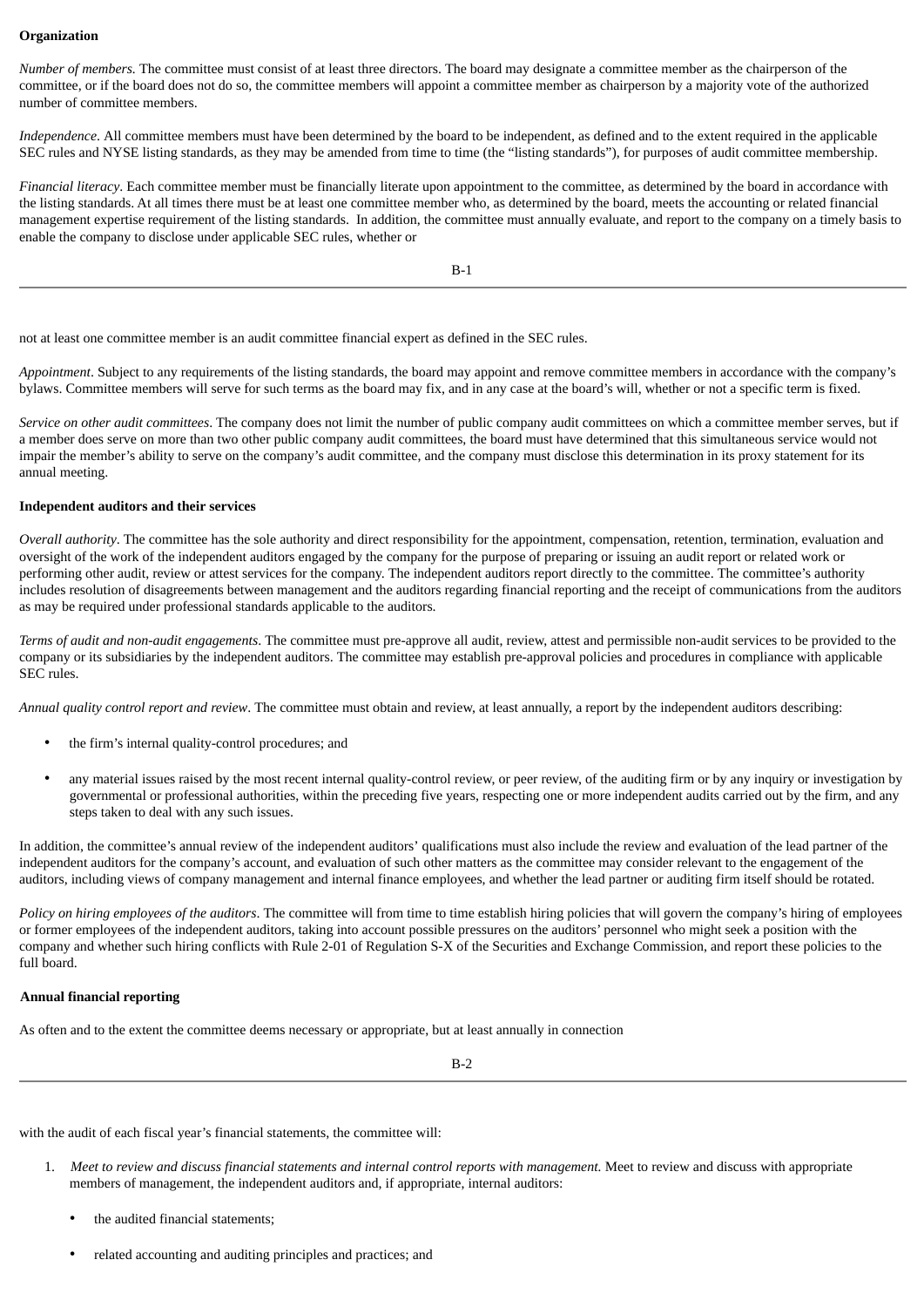# **Organization**

*Number of members.* The committee must consist of at least three directors. The board may designate a committee member as the chairperson of the committee, or if the board does not do so, the committee members will appoint a committee member as chairperson by a majority vote of the authorized number of committee members.

*Independence*. All committee members must have been determined by the board to be independent, as defined and to the extent required in the applicable SEC rules and NYSE listing standards, as they may be amended from time to time (the "listing standards"), for purposes of audit committee membership.

*Financial literacy*. Each committee member must be financially literate upon appointment to the committee, as determined by the board in accordance with the listing standards. At all times there must be at least one committee member who, as determined by the board, meets the accounting or related financial management expertise requirement of the listing standards. In addition, the committee must annually evaluate, and report to the company on a timely basis to enable the company to disclose under applicable SEC rules, whether or

B-1

not at least one committee member is an audit committee financial expert as defined in the SEC rules.

*Appointment*. Subject to any requirements of the listing standards, the board may appoint and remove committee members in accordance with the company's bylaws. Committee members will serve for such terms as the board may fix, and in any case at the board's will, whether or not a specific term is fixed.

*Service on other audit committees*. The company does not limit the number of public company audit committees on which a committee member serves, but if a member does serve on more than two other public company audit committees, the board must have determined that this simultaneous service would not impair the member's ability to serve on the company's audit committee, and the company must disclose this determination in its proxy statement for its annual meeting.

# **Independent auditors and their services**

*Overall authority*. The committee has the sole authority and direct responsibility for the appointment, compensation, retention, termination, evaluation and oversight of the work of the independent auditors engaged by the company for the purpose of preparing or issuing an audit report or related work or performing other audit, review or attest services for the company. The independent auditors report directly to the committee. The committee's authority includes resolution of disagreements between management and the auditors regarding financial reporting and the receipt of communications from the auditors as may be required under professional standards applicable to the auditors.

*Terms of audit and non-audit engagements*. The committee must pre-approve all audit, review, attest and permissible non-audit services to be provided to the company or its subsidiaries by the independent auditors. The committee may establish pre-approval policies and procedures in compliance with applicable SEC rules.

*Annual quality control report and review*. The committee must obtain and review, at least annually, a report by the independent auditors describing:

- the firm's internal quality-control procedures; and
- any material issues raised by the most recent internal quality-control review, or peer review, of the auditing firm or by any inquiry or investigation by governmental or professional authorities, within the preceding five years, respecting one or more independent audits carried out by the firm, and any steps taken to deal with any such issues.

In addition, the committee's annual review of the independent auditors' qualifications must also include the review and evaluation of the lead partner of the independent auditors for the company's account, and evaluation of such other matters as the committee may consider relevant to the engagement of the auditors, including views of company management and internal finance employees, and whether the lead partner or auditing firm itself should be rotated.

*Policy on hiring employees of the auditors*. The committee will from time to time establish hiring policies that will govern the company's hiring of employees or former employees of the independent auditors, taking into account possible pressures on the auditors' personnel who might seek a position with the company and whether such hiring conflicts with Rule 2-01 of Regulation S-X of the Securities and Exchange Commission, and report these policies to the full board.

### **Annual financial reporting**

As often and to the extent the committee deems necessary or appropriate, but at least annually in connection

B-2

with the audit of each fiscal year's financial statements, the committee will:

- 1. Meet to review and discuss financial statements and internal control reports with management. Meet to review and discuss with appropriate members of management, the independent auditors and, if appropriate, internal auditors:
	- the audited financial statements;
	- related accounting and auditing principles and practices; and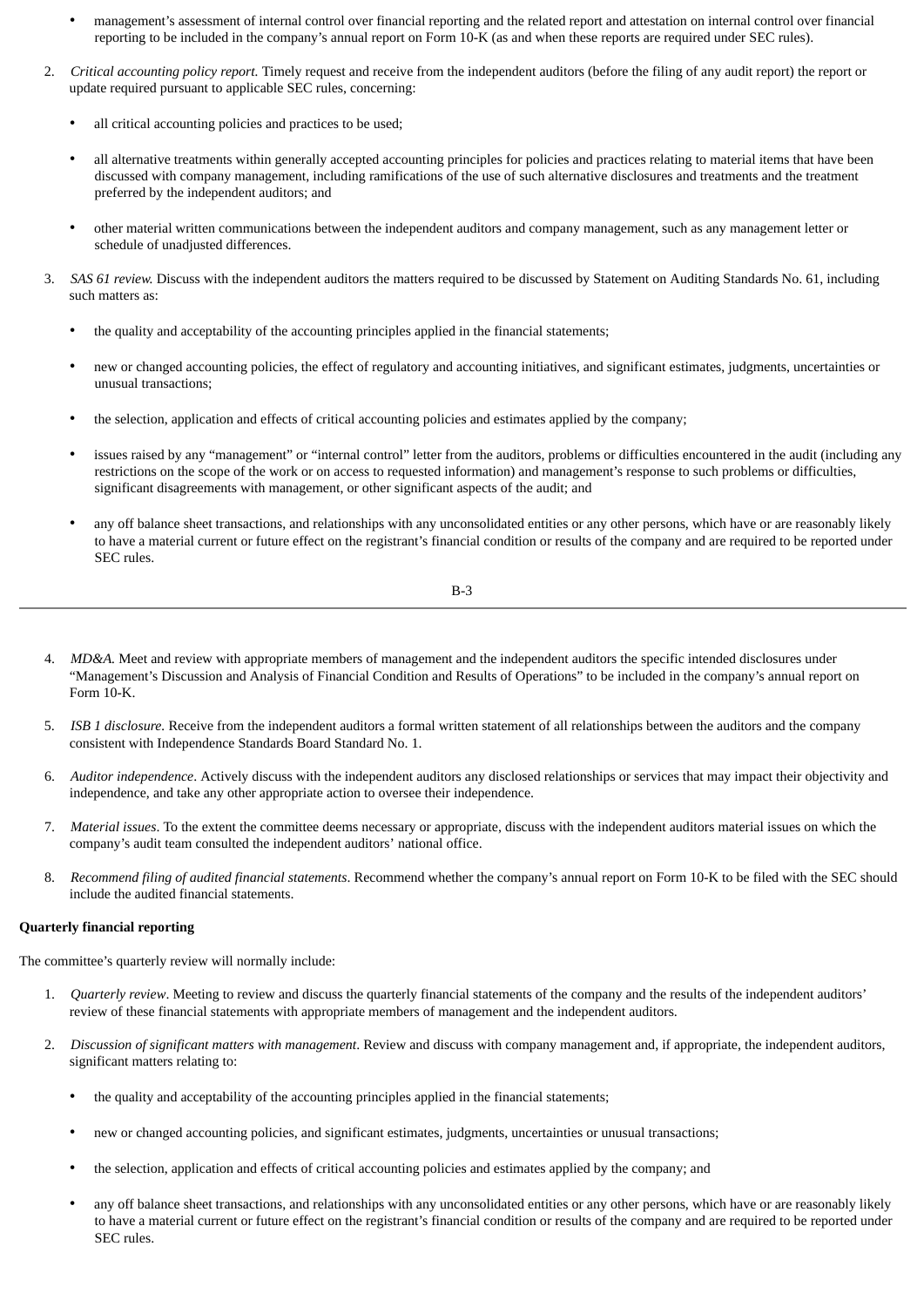- management's assessment of internal control over financial reporting and the related report and attestation on internal control over financial reporting to be included in the company's annual report on Form 10-K (as and when these reports are required under SEC rules).
- 2. *Critical accounting policy report.* Timely request and receive from the independent auditors (before the filing of any audit report) the report or update required pursuant to applicable SEC rules, concerning:
	- all critical accounting policies and practices to be used;
	- all alternative treatments within generally accepted accounting principles for policies and practices relating to material items that have been discussed with company management, including ramifications of the use of such alternative disclosures and treatments and the treatment preferred by the independent auditors; and
	- other material written communications between the independent auditors and company management, such as any management letter or schedule of unadjusted differences.
- 3. *SAS 61 review.* Discuss with the independent auditors the matters required to be discussed by Statement on Auditing Standards No. 61, including such matters as:
	- the quality and acceptability of the accounting principles applied in the financial statements;
	- new or changed accounting policies, the effect of regulatory and accounting initiatives, and significant estimates, judgments, uncertainties or unusual transactions;
	- the selection, application and effects of critical accounting policies and estimates applied by the company;
	- issues raised by any "management" or "internal control" letter from the auditors, problems or difficulties encountered in the audit (including any restrictions on the scope of the work or on access to requested information) and management's response to such problems or difficulties, significant disagreements with management, or other significant aspects of the audit; and
	- any off balance sheet transactions, and relationships with any unconsolidated entities or any other persons, which have or are reasonably likely to have a material current or future effect on the registrant's financial condition or results of the company and are required to be reported under SEC rules.

$$
B-3
$$

- 4. *MD&A.* Meet and review with appropriate members of management and the independent auditors the specific intended disclosures under "Management's Discussion and Analysis of Financial Condition and Results of Operations" to be included in the company's annual report on Form 10-K.
- 5. *ISB 1 disclosure.* Receive from the independent auditors a formal written statement of all relationships between the auditors and the company consistent with Independence Standards Board Standard No. 1.
- 6. *Auditor independence*. Actively discuss with the independent auditors any disclosed relationships or services that may impact their objectivity and independence, and take any other appropriate action to oversee their independence.
- 7. *Material issues*. To the extent the committee deems necessary or appropriate, discuss with the independent auditors material issues on which the company's audit team consulted the independent auditors' national office.
- 8. *Recommend filing of audited financial statements*. Recommend whether the company's annual report on Form 10-K to be filed with the SEC should include the audited financial statements.

### **Quarterly financial reporting**

The committee's quarterly review will normally include:

- 1. *Quarterly review*. Meeting to review and discuss the quarterly financial statements of the company and the results of the independent auditors' review of these financial statements with appropriate members of management and the independent auditors.
- 2. *Discussion of significant matters with management*. Review and discuss with company management and, if appropriate, the independent auditors, significant matters relating to:
	- the quality and acceptability of the accounting principles applied in the financial statements;
	- new or changed accounting policies, and significant estimates, judgments, uncertainties or unusual transactions;
	- the selection, application and effects of critical accounting policies and estimates applied by the company; and
	- any off balance sheet transactions, and relationships with any unconsolidated entities or any other persons, which have or are reasonably likely to have a material current or future effect on the registrant's financial condition or results of the company and are required to be reported under SEC rules.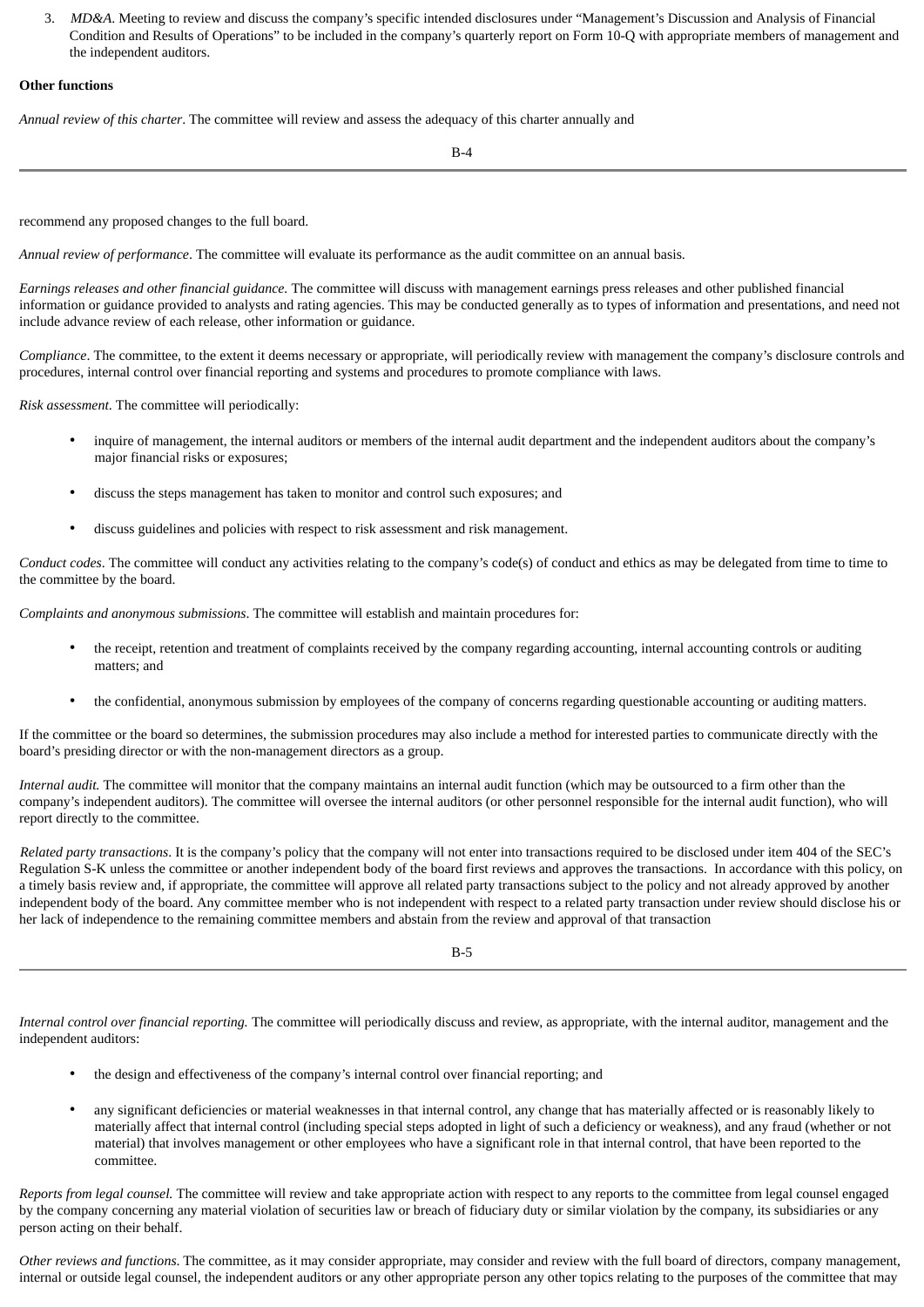3. *MD&A*. Meeting to review and discuss the company's specific intended disclosures under "Management's Discussion and Analysis of Financial Condition and Results of Operations" to be included in the company's quarterly report on Form 10-Q with appropriate members of management and the independent auditors.

### **Other functions**

*Annual review of this charter*. The committee will review and assess the adequacy of this charter annually and

 $R_{-4}$ 

recommend any proposed changes to the full board.

*Annual review of performance*. The committee will evaluate its performance as the audit committee on an annual basis.

*Earnings releases and other financial guidance.* The committee will discuss with management earnings press releases and other published financial information or guidance provided to analysts and rating agencies. This may be conducted generally as to types of information and presentations, and need not include advance review of each release, other information or guidance.

*Compliance*. The committee, to the extent it deems necessary or appropriate, will periodically review with management the company's disclosure controls and procedures, internal control over financial reporting and systems and procedures to promote compliance with laws.

*Risk assessment*. The committee will periodically:

- inquire of management, the internal auditors or members of the internal audit department and the independent auditors about the company's major financial risks or exposures;
- discuss the steps management has taken to monitor and control such exposures; and
- discuss guidelines and policies with respect to risk assessment and risk management.

*Conduct codes*. The committee will conduct any activities relating to the company's code(s) of conduct and ethics as may be delegated from time to time to the committee by the board.

*Complaints and anonymous submissions*. The committee will establish and maintain procedures for:

- the receipt, retention and treatment of complaints received by the company regarding accounting, internal accounting controls or auditing matters; and
- the confidential, anonymous submission by employees of the company of concerns regarding questionable accounting or auditing matters.

If the committee or the board so determines, the submission procedures may also include a method for interested parties to communicate directly with the board's presiding director or with the non-management directors as a group.

*Internal audit.* The committee will monitor that the company maintains an internal audit function (which may be outsourced to a firm other than the company's independent auditors). The committee will oversee the internal auditors (or other personnel responsible for the internal audit function), who will report directly to the committee.

*Related party transactions*. It is the company's policy that the company will not enter into transactions required to be disclosed under item 404 of the SEC's Regulation S-K unless the committee or another independent body of the board first reviews and approves the transactions. In accordance with this policy, on a timely basis review and, if appropriate, the committee will approve all related party transactions subject to the policy and not already approved by another independent body of the board. Any committee member who is not independent with respect to a related party transaction under review should disclose his or her lack of independence to the remaining committee members and abstain from the review and approval of that transaction

B-5

*Internal control over financial reporting.* The committee will periodically discuss and review, as appropriate, with the internal auditor, management and the independent auditors:

- the design and effectiveness of the company's internal control over financial reporting; and
- any significant deficiencies or material weaknesses in that internal control, any change that has materially affected or is reasonably likely to materially affect that internal control (including special steps adopted in light of such a deficiency or weakness), and any fraud (whether or not material) that involves management or other employees who have a significant role in that internal control, that have been reported to the committee.

*Reports from legal counsel.* The committee will review and take appropriate action with respect to any reports to the committee from legal counsel engaged by the company concerning any material violation of securities law or breach of fiduciary duty or similar violation by the company, its subsidiaries or any person acting on their behalf.

*Other reviews and functions*. The committee, as it may consider appropriate, may consider and review with the full board of directors, company management, internal or outside legal counsel, the independent auditors or any other appropriate person any other topics relating to the purposes of the committee that may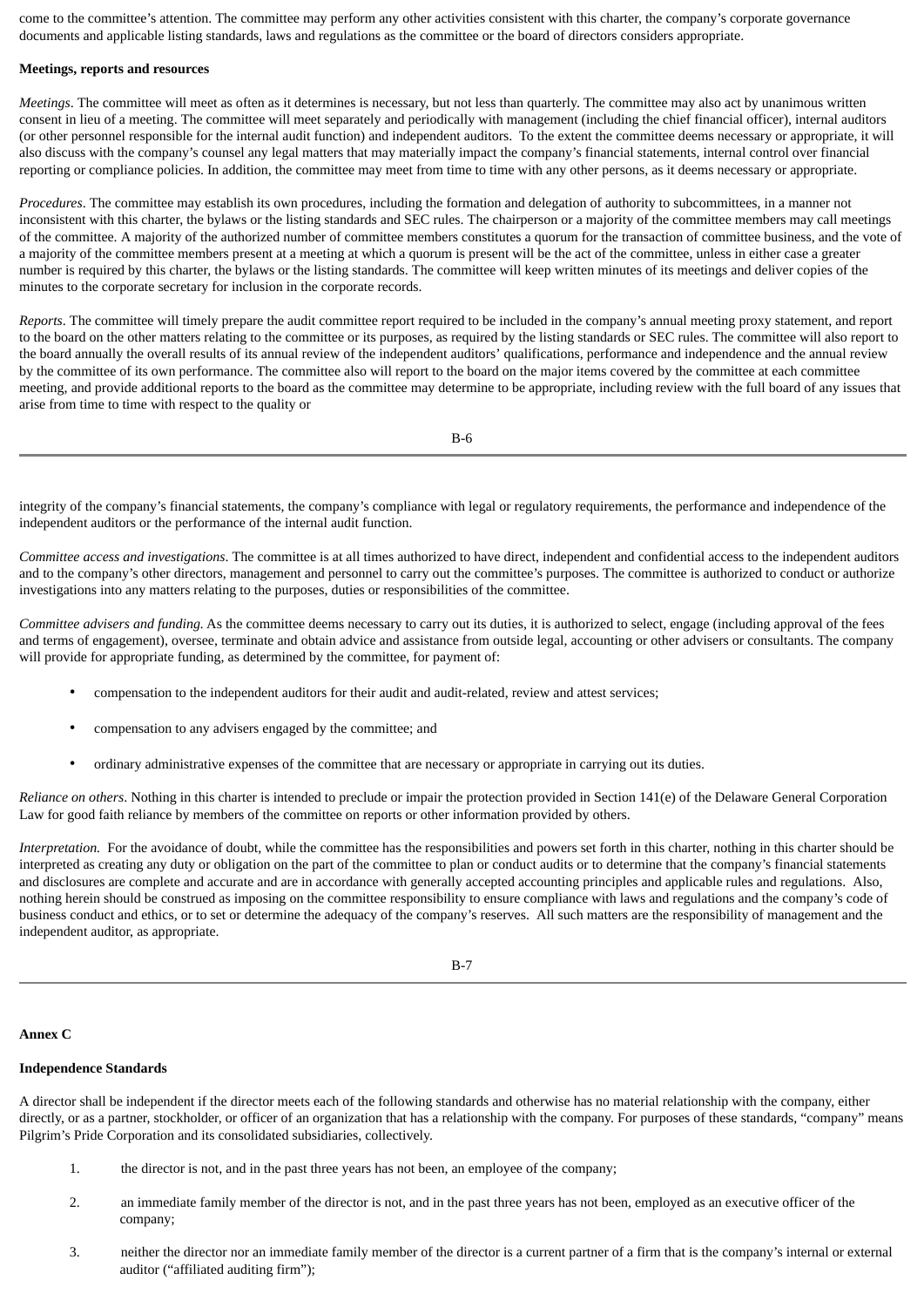come to the committee's attention. The committee may perform any other activities consistent with this charter, the company's corporate governance documents and applicable listing standards, laws and regulations as the committee or the board of directors considers appropriate.

### **Meetings, reports and resources**

*Meetings*. The committee will meet as often as it determines is necessary, but not less than quarterly. The committee may also act by unanimous written consent in lieu of a meeting. The committee will meet separately and periodically with management (including the chief financial officer), internal auditors (or other personnel responsible for the internal audit function) and independent auditors. To the extent the committee deems necessary or appropriate, it will also discuss with the company's counsel any legal matters that may materially impact the company's financial statements, internal control over financial reporting or compliance policies. In addition, the committee may meet from time to time with any other persons, as it deems necessary or appropriate.

*Procedures*. The committee may establish its own procedures, including the formation and delegation of authority to subcommittees, in a manner not inconsistent with this charter, the bylaws or the listing standards and SEC rules. The chairperson or a majority of the committee members may call meetings of the committee. A majority of the authorized number of committee members constitutes a quorum for the transaction of committee business, and the vote of a majority of the committee members present at a meeting at which a quorum is present will be the act of the committee, unless in either case a greater number is required by this charter, the bylaws or the listing standards. The committee will keep written minutes of its meetings and deliver copies of the minutes to the corporate secretary for inclusion in the corporate records.

*Reports*. The committee will timely prepare the audit committee report required to be included in the company's annual meeting proxy statement, and report to the board on the other matters relating to the committee or its purposes, as required by the listing standards or SEC rules. The committee will also report to the board annually the overall results of its annual review of the independent auditors' qualifications, performance and independence and the annual review by the committee of its own performance. The committee also will report to the board on the major items covered by the committee at each committee meeting, and provide additional reports to the board as the committee may determine to be appropriate, including review with the full board of any issues that arise from time to time with respect to the quality or

B-6

integrity of the company's financial statements, the company's compliance with legal or regulatory requirements, the performance and independence of the independent auditors or the performance of the internal audit function.

*Committee access and investigations*. The committee is at all times authorized to have direct, independent and confidential access to the independent auditors and to the company's other directors, management and personnel to carry out the committee's purposes. The committee is authorized to conduct or authorize investigations into any matters relating to the purposes, duties or responsibilities of the committee.

*Committee advisers and funding.* As the committee deems necessary to carry out its duties, it is authorized to select, engage (including approval of the fees and terms of engagement), oversee, terminate and obtain advice and assistance from outside legal, accounting or other advisers or consultants. The company will provide for appropriate funding, as determined by the committee, for payment of:

- compensation to the independent auditors for their audit and audit-related, review and attest services;
- compensation to any advisers engaged by the committee; and
- ordinary administrative expenses of the committee that are necessary or appropriate in carrying out its duties.

*Reliance on others*. Nothing in this charter is intended to preclude or impair the protection provided in Section 141(e) of the Delaware General Corporation Law for good faith reliance by members of the committee on reports or other information provided by others.

*Interpretation.* For the avoidance of doubt, while the committee has the responsibilities and powers set forth in this charter, nothing in this charter should be interpreted as creating any duty or obligation on the part of the committee to plan or conduct audits or to determine that the company's financial statements and disclosures are complete and accurate and are in accordance with generally accepted accounting principles and applicable rules and regulations. Also, nothing herein should be construed as imposing on the committee responsibility to ensure compliance with laws and regulations and the company's code of business conduct and ethics, or to set or determine the adequacy of the company's reserves. All such matters are the responsibility of management and the independent auditor, as appropriate.

#### **Annex C**

# **Independence Standards**

A director shall be independent if the director meets each of the following standards and otherwise has no material relationship with the company, either directly, or as a partner, stockholder, or officer of an organization that has a relationship with the company. For purposes of these standards, "company" means Pilgrim's Pride Corporation and its consolidated subsidiaries, collectively.

- 1. the director is not, and in the past three years has not been, an employee of the company;
- 2. an immediate family member of the director is not, and in the past three years has not been, employed as an executive officer of the company;
- 3. neither the director nor an immediate family member of the director is a current partner of a firm that is the company's internal or external auditor ("affiliated auditing firm");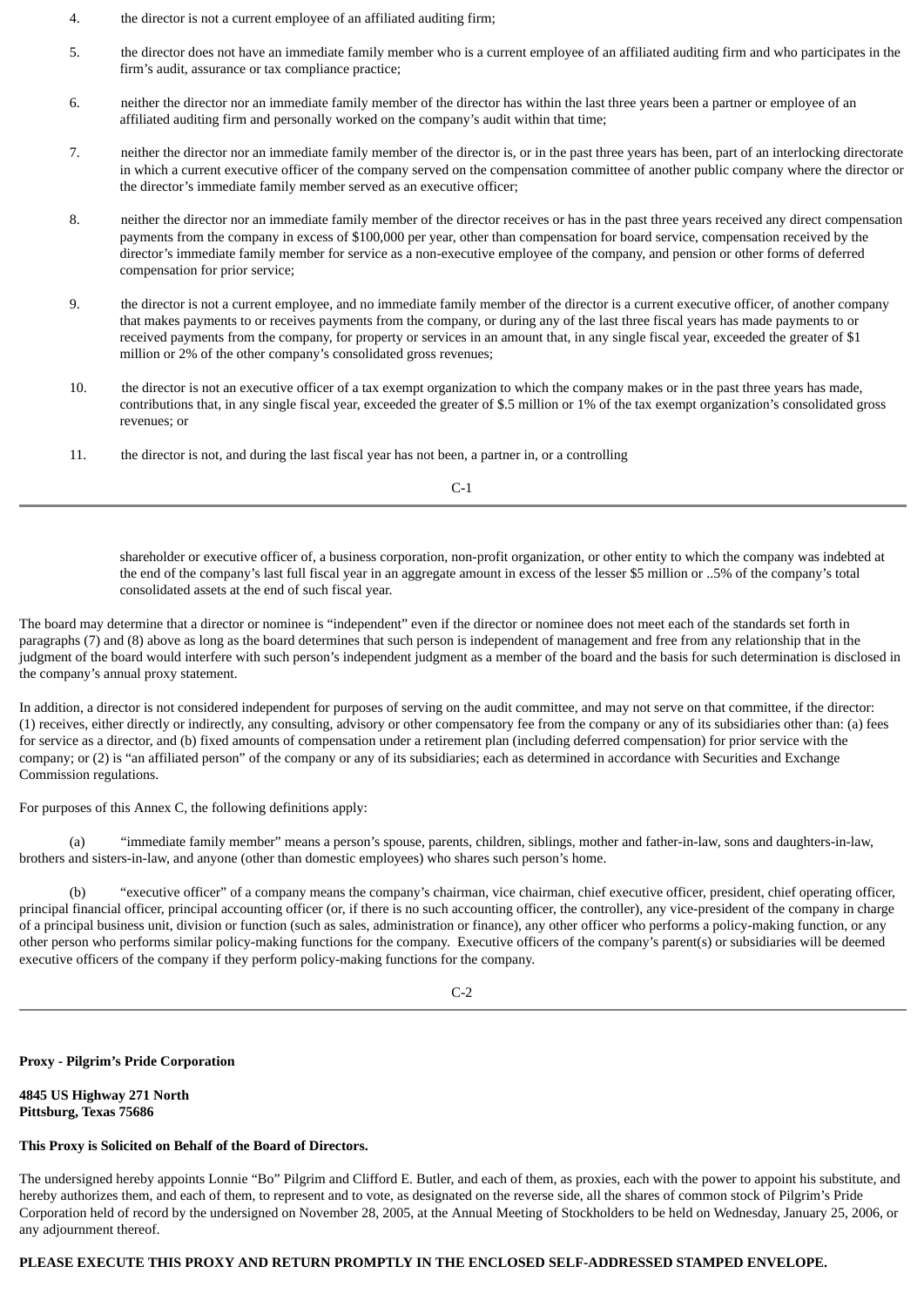- 4. the director is not a current employee of an affiliated auditing firm;
- 5. the director does not have an immediate family member who is a current employee of an affiliated auditing firm and who participates in the firm's audit, assurance or tax compliance practice;
- 6. neither the director nor an immediate family member of the director has within the last three years been a partner or employee of an affiliated auditing firm and personally worked on the company's audit within that time;
- 7. neither the director nor an immediate family member of the director is, or in the past three years has been, part of an interlocking directorate in which a current executive officer of the company served on the compensation committee of another public company where the director or the director's immediate family member served as an executive officer;
- 8. neither the director nor an immediate family member of the director receives or has in the past three years received any direct compensation payments from the company in excess of \$100,000 per year, other than compensation for board service, compensation received by the director's immediate family member for service as a non-executive employee of the company, and pension or other forms of deferred compensation for prior service;
- 9. the director is not a current employee, and no immediate family member of the director is a current executive officer, of another company that makes payments to or receives payments from the company, or during any of the last three fiscal years has made payments to or received payments from the company, for property or services in an amount that, in any single fiscal year, exceeded the greater of \$1 million or 2% of the other company's consolidated gross revenues;
- 10. the director is not an executive officer of a tax exempt organization to which the company makes or in the past three years has made, contributions that, in any single fiscal year, exceeded the greater of \$.5 million or 1% of the tax exempt organization's consolidated gross revenues; or
- 11. the director is not, and during the last fiscal year has not been, a partner in, or a controlling

C-1

shareholder or executive officer of, a business corporation, non-profit organization, or other entity to which the company was indebted at the end of the company's last full fiscal year in an aggregate amount in excess of the lesser \$5 million or ..5% of the company's total consolidated assets at the end of such fiscal year.

The board may determine that a director or nominee is "independent" even if the director or nominee does not meet each of the standards set forth in paragraphs (7) and (8) above as long as the board determines that such person is independent of management and free from any relationship that in the judgment of the board would interfere with such person's independent judgment as a member of the board and the basis for such determination is disclosed in the company's annual proxy statement.

In addition, a director is not considered independent for purposes of serving on the audit committee, and may not serve on that committee, if the director: (1) receives, either directly or indirectly, any consulting, advisory or other compensatory fee from the company or any of its subsidiaries other than: (a) fees for service as a director, and (b) fixed amounts of compensation under a retirement plan (including deferred compensation) for prior service with the company; or (2) is "an affiliated person" of the company or any of its subsidiaries; each as determined in accordance with Securities and Exchange Commission regulations.

For purposes of this Annex C, the following definitions apply:

(a) "immediate family member" means a person's spouse, parents, children, siblings, mother and father-in-law, sons and daughters-in-law, brothers and sisters-in-law, and anyone (other than domestic employees) who shares such person's home.

(b) "executive officer" of a company means the company's chairman, vice chairman, chief executive officer, president, chief operating officer, principal financial officer, principal accounting officer (or, if there is no such accounting officer, the controller), any vice-president of the company in charge of a principal business unit, division or function (such as sales, administration or finance), any other officer who performs a policy-making function, or any other person who performs similar policy-making functions for the company. Executive officers of the company's parent(s) or subsidiaries will be deemed executive officers of the company if they perform policy-making functions for the company.

 $C-2$ 

#### **Proxy - Pilgrim's Pride Corporation**

**4845 US Highway 271 North Pittsburg, Texas 75686**

# **This Proxy is Solicited on Behalf of the Board of Directors.**

The undersigned hereby appoints Lonnie "Bo" Pilgrim and Clifford E. Butler, and each of them, as proxies, each with the power to appoint his substitute, and hereby authorizes them, and each of them, to represent and to vote, as designated on the reverse side, all the shares of common stock of Pilgrim's Pride Corporation held of record by the undersigned on November 28, 2005, at the Annual Meeting of Stockholders to be held on Wednesday, January 25, 2006, or any adjournment thereof.

### **PLEASE EXECUTE THIS PROXY AND RETURN PROMPTLY IN THE ENCLOSED SELF-ADDRESSED STAMPED ENVELOPE.**